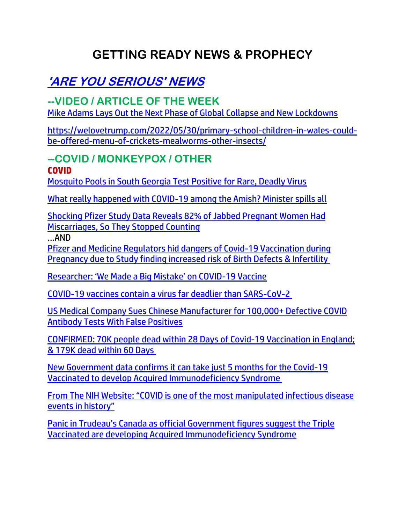# **GETTING READY NEWS & PROPHECY**

# **'ARE YOU SERIOUS' NEWS**

## **--VIDEO / ARTICLE OF THE WEEK**

[Mike Adams Lays Out the Next Phase of Global Collapse and New Lockdowns](https://ce-publicdy.naturalnews.com/ct.asp?id=91348CA78F65B89D13B7ED540030E2FB63CC26C0F061ED667F8C2F620CF59666ADA68F3604B478824FD677B2C00C964B&ct=4aeUsz4AAABCWmgzMUFZJlNZrOkYxgAAF5mAAAP%2fMDvj3IAgAFRQ0AAADQapk08o9J6nqZDQ2kkNHstkqOQ0JoGKUQS6b1pS5FMd9HDhTJ4%2fes9yUBfREDeJv4u5IpwoSFZ0jGMA)

[https://welovetrump.com/2022/05/30/primary-school-children-in-wales-could](https://welovetrump.com/2022/05/30/primary-school-children-in-wales-could-be-offered-menu-of-crickets-mealworms-other-insects/)[be-offered-menu-of-crickets-mealworms-other-insects/](https://welovetrump.com/2022/05/30/primary-school-children-in-wales-could-be-offered-menu-of-crickets-mealworms-other-insects/)

#### **--COVID / MONKEYPOX / OTHER COVID**

[Mosquito Pools in South Georgia Test Positive for Rare, Deadly Virus](https://welovetrump.com/2022/05/29/mosquito-pools-in-south-georgia-test-positive-for-rare-deadly-virus/)

[What really happened with COVID-19 among the Amish? Minister spills all](https://www.wnd.com/2022/05/amish-minister-covid-19-left-salvation-arrived/)

[Shocking Pfizer Study Data Reveals 82% of Jabbed Pregnant Women Had](https://noqreport.com/2022/05/28/shocking-pfizer-study-data-reveals-82-of-jabbed-pregnant-women-had-miscarriages-so-they-stopped-counting/)  [Miscarriages, So They Stopped Counting](https://noqreport.com/2022/05/28/shocking-pfizer-study-data-reveals-82-of-jabbed-pregnant-women-had-miscarriages-so-they-stopped-counting/)

…AND

[Pfizer and Medicine Regulators hid dangers of Covid-19 Vaccination during](https://expose-news.com/2022/05/29/pfizer-hid-dangers-covid-vaccination-in-pregnancy/)  [Pregnancy due to Study finding increased risk of Birth Defects & Infertility](https://expose-news.com/2022/05/29/pfizer-hid-dangers-covid-vaccination-in-pregnancy/)

[Researcher: 'We Made a Big Mistake' on COVID](https://lists.youmaker.com/links/byTH4blJbD/Jlid8tcrj/7xAbPNiP2/aQ69neqDEQ)-19 Vaccine

[COVID-19 vaccines contain a virus far deadlier than SARS-CoV-2](https://www.naturalnews.com/2022-05-24-covid-vaccines-contain-virus-deadlier-than-sarscov2.html)

[US Medical Company Sues Chinese Manufacturer for 100,000+ Defective COVID](https://welovetrump.com/2022/05/30/us-medical-company-sues-chinese-manufacturer-for-100000-defective-covid-antibody-tests-with-false-positives/)  [Antibody Tests With False Positives](https://welovetrump.com/2022/05/30/us-medical-company-sues-chinese-manufacturer-for-100000-defective-covid-antibody-tests-with-false-positives/)

[CONFIRMED: 70K people dead within 28 Days of Covid-19 Vaccination in England;](https://expose-news.com/2022/05/29/70k-dead-28-days-covid-vaccination-2/)  [& 179K dead within 60 Days](https://expose-news.com/2022/05/29/70k-dead-28-days-covid-vaccination-2/)

[New Government data confirms it can take just 5 months for the Covid-19](https://expose-news.com/2022/05/29/gov-confirms-5-months-develop-ai-ds-covid-vaccination/)  [Vaccinated to develop Acquired Immunodeficiency Syndrome](https://expose-news.com/2022/05/29/gov-confirms-5-months-develop-ai-ds-covid-vaccination/)

[From The NIH Website: "COVID is one of the most manipulated infectious disease](https://welovetrump.com/2022/05/30/from-the-nih-website-covid-is-one-of-the-most-manipulated-infectious-disease-events-in-history/)  [events in history"](https://welovetrump.com/2022/05/30/from-the-nih-website-covid-is-one-of-the-most-manipulated-infectious-disease-events-in-history/)

Panic in Tru[deau's Canada as official Government figures suggest the Triple](https://expose-news.com/2022/05/29/panic-trudeaus-canada-covid-vaccinated-have-a-id-s/)  [Vaccinated are developing Acquired Immunodeficiency Syndrome](https://expose-news.com/2022/05/29/panic-trudeaus-canada-covid-vaccinated-have-a-id-s/)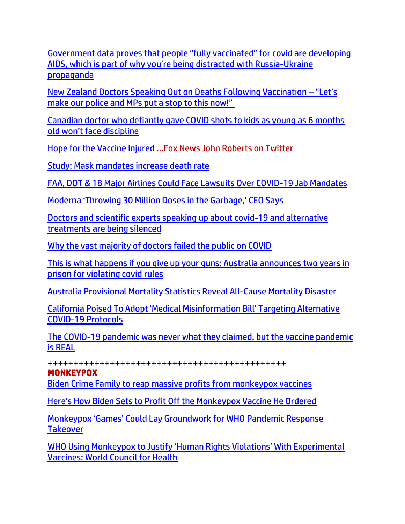Government data prov[es that people "fully vaccinated" for covid are developing](https://www.naturalnews.com/2022-05-27-government-data-fully-vaccinated-covid-aids-russia.html)  [AIDS, which is part of why you're being distracted with Russia](https://www.naturalnews.com/2022-05-27-government-data-fully-vaccinated-covid-aids-russia.html)-Ukraine [propaganda](https://www.naturalnews.com/2022-05-27-government-data-fully-vaccinated-covid-aids-russia.html)

[New Zealand Doctors Speaking Out on Deaths Following Vaccination](https://expose-news.com/2022/05/29/nzdsos-on-deaths-following-vaccination/) – "Let's [make our police and MPs put a stop to this now!"](https://expose-news.com/2022/05/29/nzdsos-on-deaths-following-vaccination/)

[Canadian doctor who defiantly gave COVID shots to kids as young as 6 months](https://www.lifesitenews.com/news/canadian-doctor-not-facing-discipline-after-giving-kids-as-young-as-6-months-unapproved-covid-shot/?utm_source=top_news&utm_campaign=usa)  old [won't face discipline](https://www.lifesitenews.com/news/canadian-doctor-not-facing-discipline-after-giving-kids-as-young-as-6-months-unapproved-covid-shot/?utm_source=top_news&utm_campaign=usa)

[Hope for the Vaccine Injured](https://amgreatness.com/2022/05/28/hope-for-the-vaccine-injured/) …Fox News John Roberts on Twitter

[Study: Mask mandates](https://www.wnd.com/2022/05/study-mask-mandates-increase-death-rate/) increase death rate

[FAA, DOT & 18 Major Airlines Could Face Lawsuits Over COVID-19 Jab Mandates](https://welovetrump.com/2022/05/27/faa-dot-18-major-airlines-could-face-lawsuits-over-covid-19-jab-mandates/)

[Moderna 'Throwing 30 Million Doses in the Garbage,' CEO Says](https://lists.youmaker.com/links/azdMRJlxkH/Jlid8tcrj/7xAbPNiP2/y7Gi7qOuGP)

[Doctors and scientific experts speaking up about covid-19 and alternative](https://ce-publiclw.naturalnews.com/ct.asp?id=09060FF14081D9AE93C00DE676024F715A4D7C03D95AD31254E116FCAA3CD6E25B78F133068E6E0D12765E0CECB79A19&ct=4aeUs1sAAABCWmgzMUFZJlNZ2b5mUgAAFxmAAAPWED7v38AgAFCgAGgAAKnpplPU8oxNGmJogbVS0gC5Z484bcHxEXrRStN9%2fDHmtbj0pg7DHmLe4j3Pk1J1qEGW%2bgyrKHVHYLb7fVB12RAw%2f8XckU4UJDZvmZSA)  [treatments are being silenced](https://ce-publiclw.naturalnews.com/ct.asp?id=09060FF14081D9AE93C00DE676024F715A4D7C03D95AD31254E116FCAA3CD6E25B78F133068E6E0D12765E0CECB79A19&ct=4aeUs1sAAABCWmgzMUFZJlNZ2b5mUgAAFxmAAAPWED7v38AgAFCgAGgAAKnpplPU8oxNGmJogbVS0gC5Z484bcHxEXrRStN9%2fDHmtbj0pg7DHmLe4j3Pk1J1qEGW%2bgyrKHVHYLb7fVB12RAw%2f8XckU4UJDZvmZSA)

[Why the vast majority of doctors failed the public on COVID](https://www.wnd.com/2022/05/vast-majority-doctors-failed-public-covid/)

[This is what happens if you give up your guns: Australia announces two years in](https://ce-publiclw.naturalnews.com/ct.asp?id=F8126B91F3E35F01476934A55D683F345D84B12DC898224394D70E98626F293639A8A6DD9A7AE61941EA31A0C5139CE8&ct=4aeUs1sAAABCWmgzMUFZJlNZWQgBSAAAFJmAAAPTEC7n36AgAEjHiJ6TTT0mmaaj0Knk0meo1MjIwSEZHZaBfI%2foqU7AakBHhozuKejw%2bGyc5Q2cnsy1JIIPl8afYZzsmrViViqS3EzAnIg%2bB3f%2bLuSKcKEgshACkA%3d%3d)  [prison for violating covid](https://ce-publiclw.naturalnews.com/ct.asp?id=F8126B91F3E35F01476934A55D683F345D84B12DC898224394D70E98626F293639A8A6DD9A7AE61941EA31A0C5139CE8&ct=4aeUs1sAAABCWmgzMUFZJlNZWQgBSAAAFJmAAAPTEC7n36AgAEjHiJ6TTT0mmaaj0Knk0meo1MjIwSEZHZaBfI%2foqU7AakBHhozuKejw%2bGyc5Q2cnsy1JIIPl8afYZzsmrViViqS3EzAnIg%2bB3f%2bLuSKcKEgshACkA%3d%3d) rules

[Australia Provisional Mortality Statistics Reveal All-Cause Mortality Disaster](https://welovetrump.com/2022/05/28/australia-provisional-mortality-statistics-reveal-all-cause-mortality-disaster/)

[California Poised To Adopt 'Medical Misinformation Bill' Targeting Alternative](https://www.zerohedge.com/political/california-poised-adopt-medical-misinformation-bill-targeting-alternative-covid-19)  [COVID-19 Protocols](https://www.zerohedge.com/political/california-poised-adopt-medical-misinformation-bill-targeting-alternative-covid-19)

[The COVID-19 pandemic was never what they claimed, but the vaccine pandemic](https://www.naturalnews.com/2022-05-27-covid-pandemic-not-real-vaccine-pandemic-is.html)  [is REAL](https://www.naturalnews.com/2022-05-27-covid-pandemic-not-real-vaccine-pandemic-is.html)

++++++++++++++++++++++++++++++++++++++++++++++

#### **MONKEYPOX**

[Biden Crime Family to reap massive profits from monkeypox vaccines](https://www.naturalnews.com/2022-05-28-biden-crime-family-reap-massive-profits-monkeypox-vaccines.html)

[Here's How Biden Sets to Profit Off the Monkeypox Vaccine He Ordered](https://welovetrump.com/2022/05/26/heres-how-biden-sets-to-profit-off-the-monkeypox-vaccine-he-ordered/)

[Monkeypox 'Games' Could Lay Groundwork for WHO](https://lists.youmaker.com/links/azdMRJlxkH/Jlid8tcrj/7xAbPNiP2/arHWVFk9p8X) Pandemic Response **Takeover** 

[WHO Using Monkeypox to Justify 'Human Rights Violations' With Experimental](https://lists.youmaker.com/links/i2U8zo4Mcc/Jlid8tcrj/7xAbPNiP2/SWOa6C5taD)  [Vaccines: World Council for Health](https://lists.youmaker.com/links/i2U8zo4Mcc/Jlid8tcrj/7xAbPNiP2/SWOa6C5taD)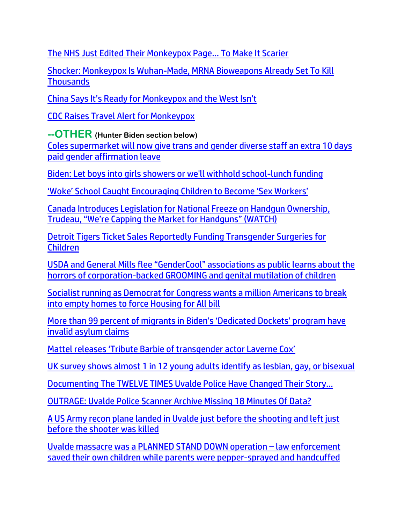[The NHS Just Edited Their Monkeypox Page… To Make It Scarier](https://trk.cp20.com/click/gak4-3n9vat-8bnhar-f4obzxf3/)

[Shocker: Monkeypox Is Wuhan-Made, MRNA Bioweapons Already Set To](https://ce-publicdy.naturalnews.com/ct.asp?id=61C5B653EBDF8372D635055A8BC8DF0402309EB4F065385B1EC3BF61908CE01109C2D49BA376A3B28A4407AFBF4E6EB5&ct=4aeUsz4AAABCWmgzMUFZJlNZJtbMjAAAF5mAAAP%2bcD%2fj3IAgAFCgAGgAAIo9GUwT1DNRpptQk2g10vICDhORqFN6GrxBLWrmKnRUdE3zFp49JshL6E2Z2rBj8XckU4UJAm1syMA%3d) Kill **[Thousands](https://ce-publicdy.naturalnews.com/ct.asp?id=61C5B653EBDF8372D635055A8BC8DF0402309EB4F065385B1EC3BF61908CE01109C2D49BA376A3B28A4407AFBF4E6EB5&ct=4aeUsz4AAABCWmgzMUFZJlNZJtbMjAAAF5mAAAP%2bcD%2fj3IAgAFCgAGgAAIo9GUwT1DNRpptQk2g10vICDhORqFN6GrxBLWrmKnRUdE3zFp49JshL6E2Z2rBj8XckU4UJAm1syMA%3d)** 

[China Says It's Ready for Monkeypox and the West Isn't](https://delivery.email.saraacarter.com/GUIDARZE?id=153976=eh4CVwZWCQQBTAdWUQAADQECVAIHUAJSBFdWBw8DBAlYBAVUAF0CVgYJCgMECAQNVVceXlxdAxEKDCRUVABaVBcBXQtPVAYGBAUDBlUPAwEAAlUGBggaChURFEADThxcXA5bEFYXSR1SXVJbChdGVUVTA1dWQxIHE0sHXFROdG1wJnM0aSAPWlNMRQE=&fl=URZGFkBfHxxDVV9XC1xBRl5XERpdVAMMBksHXFROUFRQAVk=&ext=dD1leUpoYkdjaU9pSklVekkxTmlJc0luUjVjQ0k2SWtwWFZDSjkuZXlKd0lqcGJiblZzYkN4dWRXeHNMQ0pvZEhSd2N6b3ZMM05oY21GaFkyRnlkR1Z5TG1OdmJTOWphR2x1WVMxellYbHpMV2wwY3kxeVpXRmtlUzFtYjNJdGJXOXVhMlY1Y0c5NExXRnVaQzEwYUdVdGQyVnpkQzFwYzI1MEx6OTFkRzFmYzI5MWNtTmxQV3BsWlc1bkptcGxiVDFqTldFek9EVTNNR013WVdSalkyTm1PR0ZpTTJSak9XSmlOekF5TXpObU15SXNiblZzYkN3eExHWmhiSE5sTEdaaGJITmxMQ0prWkRVd056TXlaQzB6WTJaaExUUTFZamN0T0RVeE1TMDJaV1V5WVRBMk1HRTROek1pTENKaFpqSXlaakF3WlMwelkyTmxMVFEyTldRdE9UUXpOUzFsTnpneU5qZG1PVGs1WXpFaUxDSTRZV1kxTnpBNE1DMDVZekV6TFRSaVpETXRZamcyWmkwd1lqTmpOV1JtT1RGbU1XSWlMQ0pvZEhSd2N6b3ZMM05oY21GaFkyRnlkR1Z5TG1OdmJTOWphR2x1WVMxellYbHpMV2wwY3kxeVpXRmtlUzFtYjNJdGJXOXVhMlY1Y0c5NExXRnVaQzEwYUdVdGQyVnpkQzFwYzI1MEx5SXNJbU0zY0ROZk1DSXNJbVZ0WVdsc0lpd2lSRk1pWFN3aWFXRjBJam94TmpVek5UY3dNVE15ZlEuVGlDOVctQWRvbHcwSUc5OGRMRURZNUdNdWVpcG83WVBlSW5Ja090ZTEwQQ==)

[CDC Raises Travel Alert for Monkeypox](https://lists.youmaker.com/links/byTH4blJbD/Jlid8tcrj/7xAbPNiP2/cXuLL9mi7z)

**--OTHER (Hunter Biden section below)**

[Coles supermarket will now give trans and gender diverse staff an extra 10 days](https://7news.com.au/lifestyle/coles/coles-supermarket-will-now-give-trans-and-gender-diverse-staff-an-extra-10-days-paid-leave-c-6855476)  [paid gender affirmation leave](https://7news.com.au/lifestyle/coles/coles-supermarket-will-now-give-trans-and-gender-diverse-staff-an-extra-10-days-paid-leave-c-6855476)

[Biden: Let boys into girls showers or we'll withhold school-lunch funding](https://www.wnd.com/2022/05/biden-let-boys-girls-showers-withhold-school-lunch-funding/)

['Woke' School Caught Encouraging Children to Become 'Sex Workers'](https://neonnettle.com/news/19192--woke-school-caught-encouraging-children-to-become-sex-workers-?utm_source=Neon%20Nettle%20News&utm_campaign=2aabb502b4-EMAIL&utm_medium=email&utm_term=0_463f93dbc0-2aabb502b4-293096430)

[Canada Introduces Legislation for National Freeze on Handgun Ownership,](https://welovetrump.com/2022/05/30/canada-introduces-legislation-for-national-freeze-on-handgun-ownership-trudeau-were-capping-the-market-for-handguns-watch/)  [Trudeau, "We're Capping the Market for Handguns" \(WATCH\)](https://welovetrump.com/2022/05/30/canada-introduces-legislation-for-national-freeze-on-handgun-ownership-trudeau-were-capping-the-market-for-handguns-watch/)

[Detroit Tigers Ticket Sales Reportedly Funding Transgender Surgeries for](https://welovetrump.com/2022/05/29/detroit-tigers-ticket-sales-reportedly-funding-transgender-surgeries-for-children/)  [Children](https://welovetrump.com/2022/05/29/detroit-tigers-ticket-sales-reportedly-funding-transgender-surgeries-for-children/)

[USDA and General Mills flee "GenderCool" associations as public learns about the](https://www.naturalnews.com/2022-05-30-public-learns-corporations-supporting-self-mutilation-of-children.html) [horrors of corporation-backed GROOMING and genital mutilation of children](https://www.naturalnews.com/2022-05-30-public-learns-corporations-supporting-self-mutilation-of-children.html)

[Socialist running as Democrat for Congress wants a million Americans to break](https://link.theblaze.com/click/27838375.1151934/aHR0cHM6Ly93d3cudGhlYmxhemUuY29tL25ld3MvcmViZWNjYS1wYXJzb24taG91c2luZy1mb3ItYWxsP3V0bV9zb3VyY2U9dGhlYmxhemUtYnJlYWtpbmcmdXRtX21lZGl1bT1lbWFpbCZ1dG1fY2FtcGFpZ249MjAyMjA1MjVUcmVuZGluZy1TaG9vdGVyQmlvJnV0bV90ZXJtPUFDVElWRSBMSVNUIC0gVGhlQmxhemUgQnJlYWtpbmcgTmV3cw/61f82015384ca325d2cdab60C587dbf8c)  [into empty homes to force Housing for All bill](https://link.theblaze.com/click/27838375.1151934/aHR0cHM6Ly93d3cudGhlYmxhemUuY29tL25ld3MvcmViZWNjYS1wYXJzb24taG91c2luZy1mb3ItYWxsP3V0bV9zb3VyY2U9dGhlYmxhemUtYnJlYWtpbmcmdXRtX21lZGl1bT1lbWFpbCZ1dG1fY2FtcGFpZ249MjAyMjA1MjVUcmVuZGluZy1TaG9vdGVyQmlvJnV0bV90ZXJtPUFDVElWRSBMSVNUIC0gVGhlQmxhemUgQnJlYWtpbmcgTmV3cw/61f82015384ca325d2cdab60C587dbf8c)

[More than 99 percent of migrants in Biden's 'Dedicated Dockets' program have](https://delivery.email.saraacarter.com/GUIDARZE?id=153976=eh4CVwZWCQQBTFVTXl0EUFFQUlcCCVIGAlFcVgxVVg5fUVZRBVUEUlJRVwYHWANXB1AeXlxdAxEKDCRUVABaVBcBXQtPVAYGBAgHC18PBAcBA1UCDwIaChURFEADThxcXA5bEFYXSR1SXVJbChdGVUVTA1dWQxIHE0sHXFROdG1wJnM0aSAPWlNMRQE=&fl=URZGFkBfHxxDVV9XC1xBRl5XERpdVAMMBksHXFROUFRQAVk=&ext=dD1leUpoYkdjaU9pSklVekkxTmlJc0luUjVjQ0k2SWtwWFZDSjkuZXlKd0lqcGJiblZzYkN4dWRXeHNMQ0pvZEhSd2N6b3ZMM05oY21GaFkyRnlkR1Z5TG1OdmJTOXRiM0psTFhSb1lXNHRPVGt0Y0dWeVkyVnVkQzF2WmkxdGFXZHlZVzUwY3kxcGJpMWlhV1JsYm5NdFpHVmthV05oZEdWa0xXUnZZMnRsZEhNdGNISnZaM0poYlMxb1lYWmxMV2x1ZG1Gc2FXUXRZWE41YkhWdExXTnNZV2x0Y3k4X2RYUnRYM052ZFhKalpUMXFaV1Z1WnlacVpXMDlZelZoTXpnMU56QmpNR0ZrWTJOalpqaGhZak5rWXpsaVlqY3dNak16WmpNaUxHNTFiR3dzTVN4bVlXeHpaU3htWVd4elpTd2laR1ExTURjek1tUXRNMk5tWVMwME5XSTNMVGcxTVRFdE5tVmxNbUV3TmpCaE9EY3pJaXdpWmpNek5XUXhZMlV0WVRreU55MDBOekV4TFdKak1UZ3RPR000WldWaFltTTRaalF5SWl3aU9HRm1OVGN3T0RBdE9XTXhNeTAwWW1RekxXSTRObVl0TUdJell6Vmtaamt4WmpGaUlpd2lhSFIwY0hNNkx5OXpZWEpoWVdOaGNuUmxjaTVqYjIwdmJXOXlaUzEwYUdGdUxUazVMWEJsY21ObGJuUXRiMll0YldsbmNtRnVkSE10YVc0dFltbGtaVzV6TFdSbFpHbGpZWFJsWkMxa2IyTnJaWFJ6TFhCeWIyZHlZVzB0YUdGMlpTMXBiblpoYkdsa0xXRnplV3gxYlMxamJHRnBiWE12SWl3aVl6ZHdNMTh3SWl3aVpXMWhhV3dpTENKRVV5SmRMQ0pwWVhRaU9qRTJOVE00TlRnd09EQjkualRHQXl4NlRzUWxUaTBKNkotZ0ltby1CMDZ5R2tPZE9YcEtRYTJCZWxJTQ==)  [invalid asylum claims](https://delivery.email.saraacarter.com/GUIDARZE?id=153976=eh4CVwZWCQQBTFVTXl0EUFFQUlcCCVIGAlFcVgxVVg5fUVZRBVUEUlJRVwYHWANXB1AeXlxdAxEKDCRUVABaVBcBXQtPVAYGBAgHC18PBAcBA1UCDwIaChURFEADThxcXA5bEFYXSR1SXVJbChdGVUVTA1dWQxIHE0sHXFROdG1wJnM0aSAPWlNMRQE=&fl=URZGFkBfHxxDVV9XC1xBRl5XERpdVAMMBksHXFROUFRQAVk=&ext=dD1leUpoYkdjaU9pSklVekkxTmlJc0luUjVjQ0k2SWtwWFZDSjkuZXlKd0lqcGJiblZzYkN4dWRXeHNMQ0pvZEhSd2N6b3ZMM05oY21GaFkyRnlkR1Z5TG1OdmJTOXRiM0psTFhSb1lXNHRPVGt0Y0dWeVkyVnVkQzF2WmkxdGFXZHlZVzUwY3kxcGJpMWlhV1JsYm5NdFpHVmthV05oZEdWa0xXUnZZMnRsZEhNdGNISnZaM0poYlMxb1lYWmxMV2x1ZG1Gc2FXUXRZWE41YkhWdExXTnNZV2x0Y3k4X2RYUnRYM052ZFhKalpUMXFaV1Z1WnlacVpXMDlZelZoTXpnMU56QmpNR0ZrWTJOalpqaGhZak5rWXpsaVlqY3dNak16WmpNaUxHNTFiR3dzTVN4bVlXeHpaU3htWVd4elpTd2laR1ExTURjek1tUXRNMk5tWVMwME5XSTNMVGcxTVRFdE5tVmxNbUV3TmpCaE9EY3pJaXdpWmpNek5XUXhZMlV0WVRreU55MDBOekV4TFdKak1UZ3RPR000WldWaFltTTRaalF5SWl3aU9HRm1OVGN3T0RBdE9XTXhNeTAwWW1RekxXSTRObVl0TUdJell6Vmtaamt4WmpGaUlpd2lhSFIwY0hNNkx5OXpZWEpoWVdOaGNuUmxjaTVqYjIwdmJXOXlaUzEwYUdGdUxUazVMWEJsY21ObGJuUXRiMll0YldsbmNtRnVkSE10YVc0dFltbGtaVzV6TFdSbFpHbGpZWFJsWkMxa2IyTnJaWFJ6TFhCeWIyZHlZVzB0YUdGMlpTMXBiblpoYkdsa0xXRnplV3gxYlMxamJHRnBiWE12SWl3aVl6ZHdNMTh3SWl3aVpXMWhhV3dpTENKRVV5SmRMQ0pwWVhRaU9qRTJOVE00TlRnd09EQjkualRHQXl4NlRzUWxUaTBKNkotZ0ltby1CMDZ5R2tPZE9YcEtRYTJCZWxJTQ==)

[Mattel releases 'Tribute Barbie of transgender actor Laverne Cox'](https://delivery.email.saraacarter.com/GUIDARZE?id=153976=eh4CVwZWCQQBTAQCAwsGUlVTAAIOAVdXVVJQAApTAAEAUQMABlEBUVQDC1BWDAYEBlceXlxdAxEKDCRUVABaVBcBXQtPVAYGBAcFAVMPBAYEClIGAQAaChURFEADThxcXA5bEFYXSR1SXVJbChdGVUVTA1dWQxIHE0sHXFROdG1wJnM0aSAPWlNMRQE=&fl=URZGFkBfHxxDVV9XC1xBRl5XERpdVAMMBksHXFROUFRQAVk=&ext=dD1leUpoYkdjaU9pSklVekkxTmlJc0luUjVjQ0k2SWtwWFZDSjkuZXlKd0lqcGJiblZzYkN4dWRXeHNMQ0pvZEhSd2N6b3ZMM05oY21GaFkyRnlkR1Z5TG1OdmJTOXRZWFIwWld3dGNtVnNaV0Z6WlhNdGRISnBZblYwWlMxaVlYSmlhV1V0YjJZdGRISmhibk5uWlc1a1pYSXRZV04wYjNJdGJHRjJaWEp1WlMxamIzZ3ZQM1YwYlY5emIzVnlZMlU5YW1WbGJtY21hbVZ0UFdNMVlUTTROVGN3WXpCaFpHTmpZMlk0WVdJelpHTTVZbUkzTURJek0yWXpJaXh1ZFd4c0xERXNabUZzYzJVc1ptRnNjMlVzSW1Sa05UQTNNekprTFROalptRXRORFZpTnkwNE5URXhMVFpsWlRKaE1EWXdZVGczTXlJc0lqUXhOelprTTJSbExUTXlZMkl0TkdWa05pMWlObU00TFdVMVlXUTJaV05oTVRCaU1DSXNJamhoWmpVM01EZ3dMVGxqTVRNdE5HSmtNeTFpT0RabUxUQmlNMk0xWkdZNU1XWXhZaUlzSW1oMGRIQnpPaTh2YzJGeVlXRmpZWEowWlhJdVkyOXRMMjFoZEhSbGJDMXlaV3hsWVhObGN5MTBjbWxpZFhSbExXSmhjbUpwWlMxdlppMTBjbUZ1YzJkbGJtUmxjaTFoWTNSdmNpMXNZWFpsY201bExXTnZlQzhpTENKak4zQXpYekFpTENKbGJXRnBiQ0lzSWtSVElsMHNJbWxoZENJNk1UWTFNemMzTVRZNU5IMC5HYUs4S0hId01DbnJRb29yZUYyZHhoQlE2d3dRakt1UlpTbU1TcUZzOXh3)

[UK survey shows almost 1 in 12 young adults identify as lesbian, gay, or bisexual](https://www.lifesitenews.com/news/young-adults-in-the-uk-who-identify-as-lesbian-gay-bisexual-doubled-since-2014-new-survey-shows/?utm_source=top_news&utm_campaign=usa)

[Documenting The TWELVE TIMES Uvalde Police Have Changed Their Story…](https://welovetrump.com/2022/05/30/documenting-the-twelve-times-uvalde-police-have-changed-their-story/)

[OUTRAGE: Uvalde Police Scanner Archive Missing 18 Minutes Of Data?](https://welovetrump.com/2022/05/27/outrage-uvalde-police-scanner-archive-missing-18-minutes-of-data-2/)

[A US Army recon plane landed in Uvalde just before the shooting and left just](https://strangesounds.org/2022/05/a-us-army-recon-plane-landed-in-uvalde-before-the-shooting-and-left-just-before-the-shooter-was-killed-2.html)  [before the shooter was killed](https://strangesounds.org/2022/05/a-us-army-recon-plane-landed-in-uvalde-before-the-shooting-and-left-just-before-the-shooter-was-killed-2.html)

[Uvalde massacre was a PLANNED STAND DOWN operation](https://ratherexposethem.org/2022/05/28/uvalde-massacre-was-a-planned-stand-down-operation-law-enforcement-saved-their-own-children-while-parents-were-pepper-sprayed-and-handcuffed/) – law enforcement [saved their own children while parents were pepper-sprayed and handcuffed](https://ratherexposethem.org/2022/05/28/uvalde-massacre-was-a-planned-stand-down-operation-law-enforcement-saved-their-own-children-while-parents-were-pepper-sprayed-and-handcuffed/)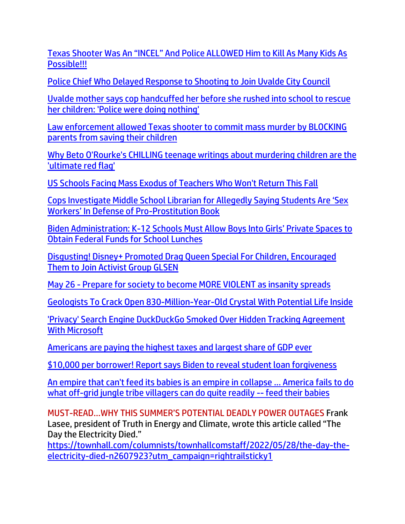[Texas Shooter Was An "INCEL" And Police ALLOWED Him to Kill As Many Kids As](https://www.redvoicemedia.com/video/2022/05/texas-shooter-was-an-incel-and-police-allowed-him-to-kill-as-many-kids-as-possible-video/)  [Possible!!!](https://www.redvoicemedia.com/video/2022/05/texas-shooter-was-an-incel-and-police-allowed-him-to-kill-as-many-kids-as-possible-video/)

[Police Chief Who Delayed Response to Shooting to Join Uvalde City Council](https://www.insider.com/police-chief-peter-arredondo-delayed-response-shooting-uvalde-city-council-2022-5)

[Uvalde mother says cop handcuffed her before she rushed into school to rescue](https://link.theblaze.com/click/27865464.937331/aHR0cHM6Ly93d3cudGhlYmxhemUuY29tL25ld3MvdXZhbGRlLW1vdGhlci1hbGxlZ2VkbHktZGV0YWluZWQtcnVzaGVkLWludG8tc2Nob29sP3V0bV9zb3VyY2U9dGhlYmxhemUtN0RheVRyZW5kaW5nVGVzdCZ1dG1fbWVkaXVtPWVtYWlsJnV0bV9jYW1wYWlnbj1BZnRlcm5vb24gQXV0byBUcmVuZGluZyA3IERheSBFbmdhZ2VkIDIwMjItMDUtMjcmdXRtX3Rlcm09QUNUSVZFIExJU1QgLSA3IERheSBFbmdhZ2VtZW50/61f82015384ca325d2cdab60Cdb3ccfa8)  [her children: 'Police were doing nothing'](https://link.theblaze.com/click/27865464.937331/aHR0cHM6Ly93d3cudGhlYmxhemUuY29tL25ld3MvdXZhbGRlLW1vdGhlci1hbGxlZ2VkbHktZGV0YWluZWQtcnVzaGVkLWludG8tc2Nob29sP3V0bV9zb3VyY2U9dGhlYmxhemUtN0RheVRyZW5kaW5nVGVzdCZ1dG1fbWVkaXVtPWVtYWlsJnV0bV9jYW1wYWlnbj1BZnRlcm5vb24gQXV0byBUcmVuZGluZyA3IERheSBFbmdhZ2VkIDIwMjItMDUtMjcmdXRtX3Rlcm09QUNUSVZFIExJU1QgLSA3IERheSBFbmdhZ2VtZW50/61f82015384ca325d2cdab60Cdb3ccfa8)

[Law enforcement allowed Texas shooter to commit mass murder by BLOCKING](https://www.naturalnews.com/2022-05-29-law-enforcement-texas-shooter-classroom-children.html)  [parents from saving their children](https://www.naturalnews.com/2022-05-29-law-enforcement-texas-shooter-classroom-children.html)

[Why Beto O'Rourke's CHILLING teenage writings about murdering children are the](https://link.theblaze.com/click/27862226.1149632/aHR0cHM6Ly93d3cudGhlYmxhemUuY29tL3Nob3dzL3RoZS1nbGVubi1iZWNrLXByb2dyYW0vYmV0by1zLXRlZW5hZ2Utd3JpdGluZ3MtYWJvdXQta2lsbGluZy1jaGlsZHJlbj91dG1fc291cmNlPXRoZWJsYXplLWJyZWFraW5nJnV0bV9tZWRpdW09ZW1haWwmdXRtX2NhbXBhaWduPTIwMjIwNTI3VHJlbmRpbmctT3JvdXJrZVdyaXRpbmdzJnV0bV90ZXJtPUFDVElWRSBMSVNUIC0gVGhlQmxhemUgQnJlYWtpbmcgTmV3cw/61f82015384ca325d2cdab60C92c96231)  ['ultimate red flag'](https://link.theblaze.com/click/27862226.1149632/aHR0cHM6Ly93d3cudGhlYmxhemUuY29tL3Nob3dzL3RoZS1nbGVubi1iZWNrLXByb2dyYW0vYmV0by1zLXRlZW5hZ2Utd3JpdGluZ3MtYWJvdXQta2lsbGluZy1jaGlsZHJlbj91dG1fc291cmNlPXRoZWJsYXplLWJyZWFraW5nJnV0bV9tZWRpdW09ZW1haWwmdXRtX2NhbXBhaWduPTIwMjIwNTI3VHJlbmRpbmctT3JvdXJrZVdyaXRpbmdzJnV0bV90ZXJtPUFDVElWRSBMSVNUIC0gVGhlQmxhemUgQnJlYWtpbmcgTmV3cw/61f82015384ca325d2cdab60C92c96231)

[US Schools Facing Mass Exodus of Teachers Who Won't Return This Fall](https://www.theepochtimes.com/us-schools-facing-mass-exodus-of-teachers-who-wont-return-this-fall_4492739.html)

[Cops Investigate Middle School Librarian for Allegedly Saying Students Are 'Sex](https://welovetrump.com/2022/05/28/cops-investigate-middle-school-librarian-for-allegedly-saying-students-are-sex-workers-in-defense-of-pro-prostitution-book/)  Wor[kers' In Defense of Pro](https://welovetrump.com/2022/05/28/cops-investigate-middle-school-librarian-for-allegedly-saying-students-are-sex-workers-in-defense-of-pro-prostitution-book/)-Prostitution Book

[Biden Administration: K-12 Schools Must All](https://welovetrump.com/2022/05/27/biden-administration-k-12-schools-must-allow-boys-into-girls-private-spaces-to-obtain-federal-funds-for-school-lunches/)ow Boys Into Girls' Private Spaces to [Obtain Federal Funds for School Lunches](https://welovetrump.com/2022/05/27/biden-administration-k-12-schools-must-allow-boys-into-girls-private-spaces-to-obtain-federal-funds-for-school-lunches/)

[Disgusting! Disney+ Promoted Drag Queen Special For Children, Encouraged](https://welovetrump.com/2022/05/27/disgusting-disney-promoted-drag-queen-special-for-children-encouraged-them-to-join-activist-group-glsen/)  [Them to Join Activist Group GLSEN](https://welovetrump.com/2022/05/27/disgusting-disney-promoted-drag-queen-special-for-children-encouraged-them-to-join-activist-group-glsen/)

May 26 - [Prepare for society to become MORE VIOLENT as insanity spreads](https://www.brighteon.com/a350a1af-ef1f-47ad-9d2e-795677bdc70d)

Geologists To Crack Open [830-Million-Year-Old Crystal](https://www.zerohedge.com/technology/geologists-crack-open-830-million-year-old-crystal-potential-life-inside) With Potential Life Inside

['Privacy' Search Engine DuckDuckGo Smoked Over Hidden Tracking Agreement](https://www.zerohedge.com/political/privacy-search-engine-duckduckgo-smoked-over-hidden-tracking-agreement-microsoft)  [With Microsoft](https://www.zerohedge.com/political/privacy-search-engine-duckduckgo-smoked-over-hidden-tracking-agreement-microsoft)

[Americans are paying the highest taxes and largest share of GDP ever](https://delivery.email.saraacarter.com/GUIDARZE?id=153976=eh4CVwZWCQQBTAIGUApUAg8EUgZWAF9SAlcGUgEFUVtYAVMFAlZWB1QFAgACDAUBAAseXlxdAxEKDCRUVABaVBcBXQtPVAYGBAcFAVMPAAUGClQHAgcaChURFEADThxcXA5bEFYXSR1SXVJbChdGVUVTA1dWQxIHE0sHXFROdG1wJnM0aSAPWlNMRQE=&fl=URZGFkBfHxxDVV9XC1xBRl5XERpdVAMMBksHXFROUFRQAVk=&ext=dD1leUpoYkdjaU9pSklVekkxTmlJc0luUjVjQ0k2SWtwWFZDSjkuZXlKd0lqcGJiblZzYkN4dWRXeHNMQ0pvZEhSd2N6b3ZMM05oY21GaFkyRnlkR1Z5TG1OdmJTOWhiV1Z5YVdOaGJuTXRZWEpsTFhCaGVXbHVaeTEwYUdVdGFHbG5hR1Z6ZEMxMFlYaGxjeTFoYm1RdGJHRnlaMlZ6ZEMxemFHRnlaUzF2WmkxblpIQXRaWFpsY2k4X2RYUnRYM052ZFhKalpUMXFaV1Z1WnlacVpXMDlZelZoTXpnMU56QmpNR0ZrWTJOalpqaGhZak5rWXpsaVlqY3dNak16WmpNaUxHNTFiR3dzTVN4bVlXeHpaU3htWVd4elpTd2laR1ExTURjek1tUXRNMk5tWVMwME5XSTNMVGcxTVRFdE5tVmxNbUV3TmpCaE9EY3pJaXdpTXpSa1pURXdPRFl0TldGbFlTMDBObVE0TFRsa05HSXRObUkzT0dOa1pqaGpOamt5SWl3aU9HRm1OVGN3T0RBdE9XTXhNeTAwWW1RekxXSTRObVl0TUdJell6Vmtaamt4WmpGaUlpd2lhSFIwY0hNNkx5OXpZWEpoWVdOaGNuUmxjaTVqYjIwdllXMWxjbWxqWVc1ekxXRnlaUzF3WVhscGJtY3RkR2hsTFdocFoyaGxjM1F0ZEdGNFpYTXRZVzVrTFd4aGNtZGxjM1F0YzJoaGNtVXRiMll0WjJSd0xXVjJaWEl2SWl3aVl6ZHdNMTh3SWl3aVpXMWhhV3dpTENKRVV5SmRMQ0pwWVhRaU9qRTJOVE00TWprek5qZDkuelJEVHNzVWltNzRZV21GclBDNjduYjhTMHNZSDJRaWdIV1NHb0xyZXRWNA==)

[\\$10,000 per borrower! Report says Biden to reveal student loan forgiveness](https://www.wnd.com/2022/05/10000-per-borrower-report-says-biden-reveal-student-loan-forgiveness/)

[An empire that can't feed its babies is an empire in collapse ... America fails to do](https://ce-publiclw.naturalnews.com/ct.asp?id=288AD2EA1049AFF9EB51C718448113989001E6F76F58D0F8281412710FF3296A83C8C43FEFFAD950E071552F6E7E7839&ct=4aeUs2cAAABCWmgzMUFZJlNZyKuLXQAAHBmAAAPWED%2fn3IAgAGoin6EgwnqGnpqaDU00xAE0AxdY2Hz6BkY0GbYtSoPlEOfSl3irrcFdslM3kUR4bUlW6aBA%2btBrCuBMshgpoCJ6zHqXhm3MZPiof8XckU4UJDIq4tdA)  [what off-grid jungle tribe villagers can do quite readily --](https://ce-publiclw.naturalnews.com/ct.asp?id=288AD2EA1049AFF9EB51C718448113989001E6F76F58D0F8281412710FF3296A83C8C43FEFFAD950E071552F6E7E7839&ct=4aeUs2cAAABCWmgzMUFZJlNZyKuLXQAAHBmAAAPWED%2fn3IAgAGoin6EgwnqGnpqaDU00xAE0AxdY2Hz6BkY0GbYtSoPlEOfSl3irrcFdslM3kUR4bUlW6aBA%2btBrCuBMshgpoCJ6zHqXhm3MZPiof8XckU4UJDIq4tdA) feed their babies

MUST-READ…WHY THIS SUMMER'S POTENTIAL DEADLY POWER OUTAGES Frank Lasee, president of Truth in Energy and Climate, wrote this article called "The Day the Electricity Died."

[https://townhall.com/columnists/townhallcomstaff/2022/05/28/the-day-the](http://clk.mikehuckabee.com/?r=MTAwNg0KSjIxMDQwLTkxQTdBMkZFLTdGQ0EtNEIwOC04QjlELThCM0IwN0QwMDAwNQ0KYWQzMmE0MTItZTI0NS00ZTAyLWE3YTktMTNmN2UyYjhhOWU4DQo4OTAwMDAwMDFhZWIzOQ0KaHR0cHM6Ly90b3duaGFsbC5jb20vY29sdW1uaXN0cy90b3duaGFsbGNvbXN0YWZmLzIwMjIvMDUvMjgvdGhlLWRheS10aGUtZWxlY3RyaWNpdHktZGllZC1uMjYwNzkyMz91dG1fY2FtcGFpZ249cmlnaHRyYWlsc3RpY2t5MQ0KdHJ1ZQ0KamtsZXNraUBnbWFpbC5jb20%3d)[electricity-died-n2607923?utm\\_campaign=rightrailsticky1](http://clk.mikehuckabee.com/?r=MTAwNg0KSjIxMDQwLTkxQTdBMkZFLTdGQ0EtNEIwOC04QjlELThCM0IwN0QwMDAwNQ0KYWQzMmE0MTItZTI0NS00ZTAyLWE3YTktMTNmN2UyYjhhOWU4DQo4OTAwMDAwMDFhZWIzOQ0KaHR0cHM6Ly90b3duaGFsbC5jb20vY29sdW1uaXN0cy90b3duaGFsbGNvbXN0YWZmLzIwMjIvMDUvMjgvdGhlLWRheS10aGUtZWxlY3RyaWNpdHktZGllZC1uMjYwNzkyMz91dG1fY2FtcGFpZ249cmlnaHRyYWlsc3RpY2t5MQ0KdHJ1ZQ0KamtsZXNraUBnbWFpbC5jb20%3d)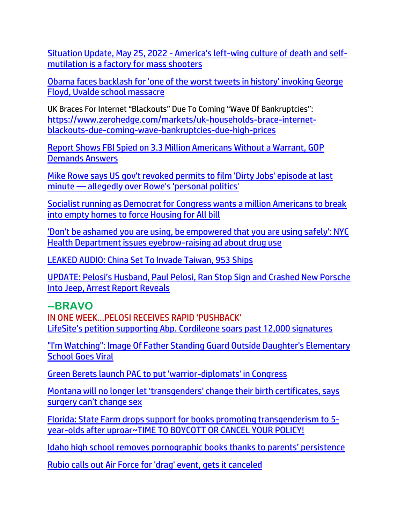Situation Update, May 25, 2022 - [America's left-wing culture of death and self](https://ce-publiclw.naturalnews.com/ct.asp?id=CA3C2EC5458082BD2573C08326A115B6B28402CC0BF4CA1BF0BF35C57F6CC2DE1E767F972AB3227D05846922BB8F6529&ct=4aeUsz4AAABCWmgzMUFZJlNZeUv8PwAAF5mAAAPf0D%2fj3IAgAEjHlNoaAjTCM0KAAAADSbVsTEsO7o05qg%2bHgEJlUA17aimCPUo14Sz1n%2f8SaE5TOgBiAK%2fxdyRThQkHlL%2fD8A%3d%3d)[mutilation is a factory for mass shooters](https://ce-publiclw.naturalnews.com/ct.asp?id=CA3C2EC5458082BD2573C08326A115B6B28402CC0BF4CA1BF0BF35C57F6CC2DE1E767F972AB3227D05846922BB8F6529&ct=4aeUsz4AAABCWmgzMUFZJlNZeUv8PwAAF5mAAAPf0D%2fj3IAgAEjHlNoaAjTCM0KAAAADSbVsTEsO7o05qg%2bHgEJlUA17aimCPUo14Sz1n%2f8SaE5TOgBiAK%2fxdyRThQkHlL%2fD8A%3d%3d)

[Obama faces backlash for 'one of the worst tweets in history' invoking George](https://link.theblaze.com/click/27852187.1170034/aHR0cHM6Ly93d3cudGhlYmxhemUuY29tL25ld3Mvb2JhbWEtYnVyaWVkLXVuZGVyLXdhdmUtb2YtYmFja2xhc2gtZm9yLW9uZS1vZi10aGUtd29yc3QtdHdlZXRzLWluLWhpc3RvcnktaW52b2tpbmctZ2VvcmdlLWZsb3lkLXNjaG9vbC1tYXNzYWNyZT91dG1fc291cmNlPXRoZWJsYXplLWJyZWFraW5nJnV0bV9tZWRpdW09ZW1haWwmdXRtX2NhbXBhaWduPTIwMjIwNTI2VHJlbmRpbmctT2JhbWEmdXRtX3Rlcm09QUNUSVZFIExJU1QgLSBUaGVCbGF6ZSBCcmVha2luZyBOZXdz/61f82015384ca325d2cdab60C4d6534a2)  [Floyd, Uvalde school massacre](https://link.theblaze.com/click/27852187.1170034/aHR0cHM6Ly93d3cudGhlYmxhemUuY29tL25ld3Mvb2JhbWEtYnVyaWVkLXVuZGVyLXdhdmUtb2YtYmFja2xhc2gtZm9yLW9uZS1vZi10aGUtd29yc3QtdHdlZXRzLWluLWhpc3RvcnktaW52b2tpbmctZ2VvcmdlLWZsb3lkLXNjaG9vbC1tYXNzYWNyZT91dG1fc291cmNlPXRoZWJsYXplLWJyZWFraW5nJnV0bV9tZWRpdW09ZW1haWwmdXRtX2NhbXBhaWduPTIwMjIwNTI2VHJlbmRpbmctT2JhbWEmdXRtX3Rlcm09QUNUSVZFIExJU1QgLSBUaGVCbGF6ZSBCcmVha2luZyBOZXdz/61f82015384ca325d2cdab60C4d6534a2)

UK Braces For Internet "Blackouts" Due To Coming "Wave Of Bankruptcies": [https://www.zerohedge.com/markets/uk-households-brace-internet](https://www.zerohedge.com/markets/uk-households-brace-internet-blackouts-due-coming-wave-bankruptcies-due-high-prices)[blackouts-due-coming-wave-bankruptcies-due-high-prices](https://www.zerohedge.com/markets/uk-households-brace-internet-blackouts-due-coming-wave-bankruptcies-due-high-prices)

[Report Shows FBI Spied on 3.3 Million Americans Without a Warrant, GOP](https://lists.youmaker.com/links/azdMRJlxkH/Jlid8tcrj/7xAbPNiP2/0ZoRUAccj)  [Demands Answers](https://lists.youmaker.com/links/azdMRJlxkH/Jlid8tcrj/7xAbPNiP2/0ZoRUAccj)

[Mike Rowe says US gov't revoked permits to film 'Dirty Jobs' episode at last](https://link.theblaze.com/click/27840837.1038161/aHR0cHM6Ly93d3cudGhlYmxhemUuY29tL25ld3MvbWlrZS1yb3dlLWRpcnR5LWpvYnMtcGVybWl0P3V0bV9zb3VyY2U9dGhlYmxhemUtZGFpbHlQTSZ1dG1fbWVkaXVtPWVtYWlsJnV0bV9jYW1wYWlnbj1EYWlseS1OZXdzbGV0dGVyX19QTSAyMDIyLTA1LTI1JnV0bV90ZXJtPUFDVElWRSBMSVNUIC0gVGhlQmxhemUgRGFpbHkgUE0/61f82015384ca325d2cdab60C5bb7dff2)  minute — [allegedly over Rowe's 'personal politics'](https://link.theblaze.com/click/27840837.1038161/aHR0cHM6Ly93d3cudGhlYmxhemUuY29tL25ld3MvbWlrZS1yb3dlLWRpcnR5LWpvYnMtcGVybWl0P3V0bV9zb3VyY2U9dGhlYmxhemUtZGFpbHlQTSZ1dG1fbWVkaXVtPWVtYWlsJnV0bV9jYW1wYWlnbj1EYWlseS1OZXdzbGV0dGVyX19QTSAyMDIyLTA1LTI1JnV0bV90ZXJtPUFDVElWRSBMSVNUIC0gVGhlQmxhemUgRGFpbHkgUE0/61f82015384ca325d2cdab60C5bb7dff2)

[Socialist running as Democrat for Congress wants a million Americans to break](https://link.theblaze.com/click/27838375.1151934/aHR0cHM6Ly93d3cudGhlYmxhemUuY29tL25ld3MvcmViZWNjYS1wYXJzb24taG91c2luZy1mb3ItYWxsP3V0bV9zb3VyY2U9dGhlYmxhemUtYnJlYWtpbmcmdXRtX21lZGl1bT1lbWFpbCZ1dG1fY2FtcGFpZ249MjAyMjA1MjVUcmVuZGluZy1TaG9vdGVyQmlvJnV0bV90ZXJtPUFDVElWRSBMSVNUIC0gVGhlQmxhemUgQnJlYWtpbmcgTmV3cw/61f82015384ca325d2cdab60C587dbf8c)  [into empty homes to force Housing for All bill](https://link.theblaze.com/click/27838375.1151934/aHR0cHM6Ly93d3cudGhlYmxhemUuY29tL25ld3MvcmViZWNjYS1wYXJzb24taG91c2luZy1mb3ItYWxsP3V0bV9zb3VyY2U9dGhlYmxhemUtYnJlYWtpbmcmdXRtX21lZGl1bT1lbWFpbCZ1dG1fY2FtcGFpZ249MjAyMjA1MjVUcmVuZGluZy1TaG9vdGVyQmlvJnV0bV90ZXJtPUFDVElWRSBMSVNUIC0gVGhlQmxhemUgQnJlYWtpbmcgTmV3cw/61f82015384ca325d2cdab60C587dbf8c)

['Don't be ashamed you are using, be empowered that you are using safely': NYC](https://link.theblaze.com/click/27876215.1154880/aHR0cHM6Ly93d3cudGhlYmxhemUuY29tL25ld3MvbmV3LXlvcmstY2l0eS1kcnVnLWFkdmVydGlzZW1lbnQ_dXRtX3NvdXJjZT10aGVibGF6ZS1icmVha2luZyZ1dG1fbWVkaXVtPWVtYWlsJnV0bV9jYW1wYWlnbj1OZXctVHJlbmRpbmctU3RvcnlfV0VFS0VORCAyMDIyLTA1LTI4JnV0bV90ZXJtPUFDVElWRSBMSVNUIC0gVGhlQmxhemUgQnJlYWtpbmcgTmV3cw/61f82015384ca325d2cdab60Ca065f6fb)  [Health Department issues eyebrow-raising ad about drug use](https://link.theblaze.com/click/27876215.1154880/aHR0cHM6Ly93d3cudGhlYmxhemUuY29tL25ld3MvbmV3LXlvcmstY2l0eS1kcnVnLWFkdmVydGlzZW1lbnQ_dXRtX3NvdXJjZT10aGVibGF6ZS1icmVha2luZyZ1dG1fbWVkaXVtPWVtYWlsJnV0bV9jYW1wYWlnbj1OZXctVHJlbmRpbmctU3RvcnlfV0VFS0VORCAyMDIyLTA1LTI4JnV0bV90ZXJtPUFDVElWRSBMSVNUIC0gVGhlQmxhemUgQnJlYWtpbmcgTmV3cw/61f82015384ca325d2cdab60Ca065f6fb)

[LEAKED AUDIO: China Set To Invade Taiwan, 953 Ships](https://welovetrump.com/2022/05/30/leaked-audio-china-set-to-invade-taiwan-953-ships/)

[UPDATE: Pelosi's Husband, Paul Pelosi, Ran Stop Sign and Crashed New Porsche](https://welovetrump.com/2022/05/30/update-pelosis-husband-paul-pelosi-ran-stop-sign-and-crashed-new-porsche-into-jeep-arrest-report-reveals/)  [Into Jeep, Arrest Report](https://welovetrump.com/2022/05/30/update-pelosis-husband-paul-pelosi-ran-stop-sign-and-crashed-new-porsche-into-jeep-arrest-report-reveals/) Reveals

#### **--BRAVO**

IN ONE WEEK…PELOSI RECEIVES RAPID 'PUSHBACK' LifeSite's petition supporting Ab[p. Cordileone soars past 12,000 signatures](https://www.lifesitenews.com/news/lifesites-petition-supporting-abp-cordileone-soars-past-12000-signatures/?utm_source=top_news&utm_campaign=usa)

["I'm Watching": Image Of Father Standing Guard Outside Daughter's Elementary](https://www.zerohedge.com/political/im-watching-image-father-standing-guard-outside-daughters-elementary-school-goes-viral)  [School Goes Viral](https://www.zerohedge.com/political/im-watching-image-father-standing-guard-outside-daughters-elementary-school-goes-viral)

[Green Berets launch PAC to put 'warrior-diplomats' in Congress](https://www.wnd.com/2022/05/green-berets-launch-pac-put-warrior-diplomats-congress/)

[Montana will no longer let 'transgenders' change their birth certific](https://www.lifesitenews.com/news/montana-will-no-longer-let-transgenders-change-their-birth-certificates-says-surgery-cant-change-sex/?utm_source=featured&utm_campaign=usa)ates, says [surgery can't change sex](https://www.lifesitenews.com/news/montana-will-no-longer-let-transgenders-change-their-birth-certificates-says-surgery-cant-change-sex/?utm_source=featured&utm_campaign=usa)

[Florida: State Farm drops support for books promoting transgenderism to 5](https://ratherexposethem.org/2022/05/29/florida-state-farm-drops-support-for-books-promoting-transgenderism-to-5-year-olds-after-uproar/) [year-olds after uproar~TIME TO BOYCOTT OR CANCEL YOUR POLICY!](https://ratherexposethem.org/2022/05/29/florida-state-farm-drops-support-for-books-promoting-transgenderism-to-5-year-olds-after-uproar/)

Idaho high school remo[ves pornographic books thanks to parents' persistence](https://www.lifesitenews.com/opinion/idaho-massresistance-team-forces-high-school-to-remove-graphic-lgbt-books/?utm_source=top_news&utm_campaign=usa)

[Rubio calls out Air Force for 'drag' event, gets it canceled](https://www.wnd.com/2022/05/rubio-calls-air-force-drag-event-gets-canceled/)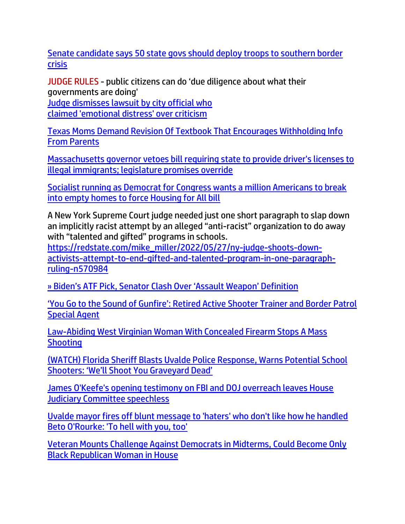[Senate candidate says 50 state govs should deploy troops to southern border](https://americanmilitarynews.com/2022/05/senate-candidate-says-50-state-govs-should-deploy-troops-to-southern-border-crisis/)  [crisis](https://americanmilitarynews.com/2022/05/senate-candidate-says-50-state-govs-should-deploy-troops-to-southern-border-crisis/)

JUDGE RULES - public citizens can do '[due diligence about what their](https://www.wnd.com/2022/05/judge-dismisses-lawsuit-city-official-claimed-emotional-distress-criticism/)  [governments are doing'](https://www.wnd.com/2022/05/judge-dismisses-lawsuit-city-official-claimed-emotional-distress-criticism/)

[Judge dismisses lawsuit by city official who](https://www.wnd.com/2022/05/judge-dismisses-lawsuit-city-official-claimed-emotional-distress-criticism/) [claimed 'emotional distress' over criticism](https://www.wnd.com/2022/05/judge-dismisses-lawsuit-city-official-claimed-emotional-distress-criticism/)

[Texas Moms Demand Revision Of Textbook That Encourages Withholding Info](https://www.zerohedge.com/political/texas-moms-demand-revision-textbook-encourages-withholding-info-parents)  [From Parents](https://www.zerohedge.com/political/texas-moms-demand-revision-textbook-encourages-withholding-info-parents)

[Massachusetts governor vetoes bill requiring state to provide driver's licenses to](https://link.theblaze.com/click/27876215.1154880/aHR0cHM6Ly93d3cudGhlYmxhemUuY29tL25ld3MvbWFzc2FjaHVzZXR0cy1nb3Zlcm5vci12ZXRvZXMtYmlsbC1yZXF1aXJpbmctc3RhdGUtdG8tcHJvdmlkZS1kcml2ZXItcy1saWNlbnNlcy10by1pbGxlZ2FsLWltbWlncmFudHMtbGVnaXNsYXR1cmUtcHJvbWlzZXMtb3ZlcnJpZGU_dXRtX3NvdXJjZT10aGVibGF6ZS1icmVha2luZyZ1dG1fbWVkaXVtPWVtYWlsJnV0bV9jYW1wYWlnbj1OZXctVHJlbmRpbmctU3RvcnlfV0VFS0VORCAyMDIyLTA1LTI4JnV0bV90ZXJtPUFDVElWRSBMSVNUIC0gVGhlQmxhemUgQnJlYWtpbmcgTmV3cw/61f82015384ca325d2cdab60C2826f3fd)  [illegal immigrants; legislature promises override](https://link.theblaze.com/click/27876215.1154880/aHR0cHM6Ly93d3cudGhlYmxhemUuY29tL25ld3MvbWFzc2FjaHVzZXR0cy1nb3Zlcm5vci12ZXRvZXMtYmlsbC1yZXF1aXJpbmctc3RhdGUtdG8tcHJvdmlkZS1kcml2ZXItcy1saWNlbnNlcy10by1pbGxlZ2FsLWltbWlncmFudHMtbGVnaXNsYXR1cmUtcHJvbWlzZXMtb3ZlcnJpZGU_dXRtX3NvdXJjZT10aGVibGF6ZS1icmVha2luZyZ1dG1fbWVkaXVtPWVtYWlsJnV0bV9jYW1wYWlnbj1OZXctVHJlbmRpbmctU3RvcnlfV0VFS0VORCAyMDIyLTA1LTI4JnV0bV90ZXJtPUFDVElWRSBMSVNUIC0gVGhlQmxhemUgQnJlYWtpbmcgTmV3cw/61f82015384ca325d2cdab60C2826f3fd)

[Socialist running as Democrat for Congress wants a million Americans to break](https://link.theblaze.com/click/27838375.1151934/aHR0cHM6Ly93d3cudGhlYmxhemUuY29tL25ld3MvcmViZWNjYS1wYXJzb24taG91c2luZy1mb3ItYWxsP3V0bV9zb3VyY2U9dGhlYmxhemUtYnJlYWtpbmcmdXRtX21lZGl1bT1lbWFpbCZ1dG1fY2FtcGFpZ249MjAyMjA1MjVUcmVuZGluZy1TaG9vdGVyQmlvJnV0bV90ZXJtPUFDVElWRSBMSVNUIC0gVGhlQmxhemUgQnJlYWtpbmcgTmV3cw/61f82015384ca325d2cdab60C587dbf8c)  [into empty homes to force Housing for All bill](https://link.theblaze.com/click/27838375.1151934/aHR0cHM6Ly93d3cudGhlYmxhemUuY29tL25ld3MvcmViZWNjYS1wYXJzb24taG91c2luZy1mb3ItYWxsP3V0bV9zb3VyY2U9dGhlYmxhemUtYnJlYWtpbmcmdXRtX21lZGl1bT1lbWFpbCZ1dG1fY2FtcGFpZ249MjAyMjA1MjVUcmVuZGluZy1TaG9vdGVyQmlvJnV0bV90ZXJtPUFDVElWRSBMSVNUIC0gVGhlQmxhemUgQnJlYWtpbmcgTmV3cw/61f82015384ca325d2cdab60C587dbf8c)

A New York Supreme Court judge needed just one short paragraph to slap down an implicitly racist attempt by an alleged "anti-racist" organization to do away with "talented and gifted" programs in schools.

[https://redstate.com/mike\\_miller/2022/05/27/ny-judge-shoots-down](http://clk.mikehuckabee.com/?r=MTAwNg0KSjIxMDQwLTkxQTdBMkZFLTdGQ0EtNEIwOC04QjlELThCM0IwN0QwMDAwNQ0KYWQzMmE0MTItZTI0NS00ZTAyLWE3YTktMTNmN2UyYjhhOWU4DQo4OTAwMDAwMDFhZWIzOQ0KaHR0cHM6Ly9yZWRzdGF0ZS5jb20vbWlrZV9taWxsZXIvMjAyMi8wNS8yNy9ueS1qdWRnZS1zaG9vdHMtZG93bi1hY3RpdmlzdHMtYXR0ZW1wdC10by1lbmQtZ2lmdGVkLWFuZC10YWxlbnRlZC1wcm9ncmFtLWluLW9uZS1wYXJhZ3JhcGgtcnVsaW5nLW41NzA5ODQNCnRydWUNCmprbGVza2lAZ21haWwuY29t)[activists-attempt-to-end-gifted-and-talented-program-in-one-paragraph](http://clk.mikehuckabee.com/?r=MTAwNg0KSjIxMDQwLTkxQTdBMkZFLTdGQ0EtNEIwOC04QjlELThCM0IwN0QwMDAwNQ0KYWQzMmE0MTItZTI0NS00ZTAyLWE3YTktMTNmN2UyYjhhOWU4DQo4OTAwMDAwMDFhZWIzOQ0KaHR0cHM6Ly9yZWRzdGF0ZS5jb20vbWlrZV9taWxsZXIvMjAyMi8wNS8yNy9ueS1qdWRnZS1zaG9vdHMtZG93bi1hY3RpdmlzdHMtYXR0ZW1wdC10by1lbmQtZ2lmdGVkLWFuZC10YWxlbnRlZC1wcm9ncmFtLWluLW9uZS1wYXJhZ3JhcGgtcnVsaW5nLW41NzA5ODQNCnRydWUNCmprbGVza2lAZ21haWwuY29t)[ruling-n570984](http://clk.mikehuckabee.com/?r=MTAwNg0KSjIxMDQwLTkxQTdBMkZFLTdGQ0EtNEIwOC04QjlELThCM0IwN0QwMDAwNQ0KYWQzMmE0MTItZTI0NS00ZTAyLWE3YTktMTNmN2UyYjhhOWU4DQo4OTAwMDAwMDFhZWIzOQ0KaHR0cHM6Ly9yZWRzdGF0ZS5jb20vbWlrZV9taWxsZXIvMjAyMi8wNS8yNy9ueS1qdWRnZS1zaG9vdHMtZG93bi1hY3RpdmlzdHMtYXR0ZW1wdC10by1lbmQtZ2lmdGVkLWFuZC10YWxlbnRlZC1wcm9ncmFtLWluLW9uZS1wYXJhZ3JhcGgtcnVsaW5nLW41NzA5ODQNCnRydWUNCmprbGVza2lAZ21haWwuY29t)

[» Biden's ATF Pick, Senator Clash Over 'Assault Weapon' Definition](https://trk.cp20.com/click/gak4-3naeig-8bnnsk-f4obzxf8/)

['You Go to the Sound of Gunfire': Retired Active Shooter Trainer and Border Patrol](https://lists.youmaker.com/links/i2U8zo4Mcc/Jlid8tcrj/7xAbPNiP2/HRpS6VhnUH)  [Special Agent](https://lists.youmaker.com/links/i2U8zo4Mcc/Jlid8tcrj/7xAbPNiP2/HRpS6VhnUH)

[Law-Abiding West Virginian Woman With Concealed Firearm Stops A Mass](https://www.zerohedge.com/political/law-abiding-west-virginia-woman-concealed-firearm-stops-mass-shooting)  **[Shooting](https://www.zerohedge.com/political/law-abiding-west-virginia-woman-concealed-firearm-stops-mass-shooting)** 

[\(WATCH\) Florida Sheriff Blasts Uvalde Police Response, Warns Potential School](https://welovetrump.com/2022/05/28/watch-florida-sheriff-blasts-uvalde-police-response-warns-potential-school-shooters-well-shoot-you-graveyard-dead/)  [Shooters: 'We'll Shoot You Graveyard Dead'](https://welovetrump.com/2022/05/28/watch-florida-sheriff-blasts-uvalde-police-response-warns-potential-school-shooters-well-shoot-you-graveyard-dead/)

[James O'Keefe's opening testimony on FBI and DOJ overreach leaves House](https://link.theblaze.com/click/27858365.1051721/aHR0cHM6Ly93d3cudGhlYmxhemUuY29tL3ZpZGVvL2phbWVzLW8ta2VlZmUtcy1vcGVuaW5nLXRlc3RpbW9ueS1vbi1mYmktYW5kLWRvai1vdmVycmVhY2gtbGVhdmVzLWhvdXNlLWp1ZGljaWFyeS1jb21taXR0ZWUtc3BlZWNobGVzcz91dG1fc291cmNlPXRoZWJsYXplLWRhaWx5QU0mdXRtX21lZGl1bT1lbWFpbCZ1dG1fY2FtcGFpZ249RGFpbHktTmV3c2xldHRlcl9fQU0gMjAyMi0wNS0yNyZ1dG1fdGVybT1BQ1RJVkUgTElTVCAtIFRoZUJsYXplIERhaWx5IEFN/61f82015384ca325d2cdab60C7a3b22db)  [Judiciary Committee speechless](https://link.theblaze.com/click/27858365.1051721/aHR0cHM6Ly93d3cudGhlYmxhemUuY29tL3ZpZGVvL2phbWVzLW8ta2VlZmUtcy1vcGVuaW5nLXRlc3RpbW9ueS1vbi1mYmktYW5kLWRvai1vdmVycmVhY2gtbGVhdmVzLWhvdXNlLWp1ZGljaWFyeS1jb21taXR0ZWUtc3BlZWNobGVzcz91dG1fc291cmNlPXRoZWJsYXplLWRhaWx5QU0mdXRtX21lZGl1bT1lbWFpbCZ1dG1fY2FtcGFpZ249RGFpbHktTmV3c2xldHRlcl9fQU0gMjAyMi0wNS0yNyZ1dG1fdGVybT1BQ1RJVkUgTElTVCAtIFRoZUJsYXplIERhaWx5IEFN/61f82015384ca325d2cdab60C7a3b22db)

Uvalde [mayor fires off blunt message to 'haters' who don't like how he handled](https://link.theblaze.com/click/27852187.1170034/aHR0cHM6Ly93d3cudGhlYmxhemUuY29tL25ld3MvZG9uLW1jbGF1Z2hsaW4tcmVzcG9uZHMtYmV0by1vcm91cmtlLW91dGJ1cnN0P3V0bV9zb3VyY2U9dGhlYmxhemUtYnJlYWtpbmcmdXRtX21lZGl1bT1lbWFpbCZ1dG1fY2FtcGFpZ249MjAyMjA1MjZUcmVuZGluZy1PYmFtYSZ1dG1fdGVybT1BQ1RJVkUgTElTVCAtIFRoZUJsYXplIEJyZWFraW5nIE5ld3M/61f82015384ca325d2cdab60C26008051)  [Beto O'Rourke: 'To hell with you, too'](https://link.theblaze.com/click/27852187.1170034/aHR0cHM6Ly93d3cudGhlYmxhemUuY29tL25ld3MvZG9uLW1jbGF1Z2hsaW4tcmVzcG9uZHMtYmV0by1vcm91cmtlLW91dGJ1cnN0P3V0bV9zb3VyY2U9dGhlYmxhemUtYnJlYWtpbmcmdXRtX21lZGl1bT1lbWFpbCZ1dG1fY2FtcGFpZ249MjAyMjA1MjZUcmVuZGluZy1PYmFtYSZ1dG1fdGVybT1BQ1RJVkUgTElTVCAtIFRoZUJsYXplIEJyZWFraW5nIE5ld3M/61f82015384ca325d2cdab60C26008051)

Veteran Mounts Challenge Against [Democrats in Midterms, Could Become Only](https://lists.youmaker.com/links/azdMRJlxkH/Jlid8tcrj/7xAbPNiP2/96LaN6PEk6)  [Black Republican Woman in House](https://lists.youmaker.com/links/azdMRJlxkH/Jlid8tcrj/7xAbPNiP2/96LaN6PEk6)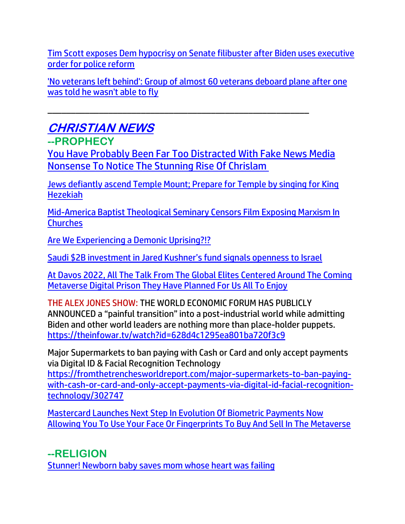[Tim Scott exposes Dem hypocrisy on Senate filibuster after Biden uses executive](https://link.theblaze.com/click/27850666.930808/aHR0cHM6Ly93d3cudGhlYmxhemUuY29tL25ld3MvdGltLXNjb3R0LWRlbW9jcmF0cy1oeXBvY3Jpc3ktZmlsaWJ1c3Rlci1wb2xpY2UtcmVmb3JtP3V0bV9zb3VyY2U9dGhlYmxhemUtN0RheVRyZW5kaW5nVGVzdCZ1dG1fbWVkaXVtPWVtYWlsJnV0bV9jYW1wYWlnbj1BZnRlcm5vb24gQXV0byBUcmVuZGluZyA3IERheSBFbmdhZ2VkIDIwMjItMDUtMjYmdXRtX3Rlcm09QUNUSVZFIExJU1QgLSA3IERheSBFbmdhZ2VtZW50/61f82015384ca325d2cdab60C3688b899)  [order for police reform](https://link.theblaze.com/click/27850666.930808/aHR0cHM6Ly93d3cudGhlYmxhemUuY29tL25ld3MvdGltLXNjb3R0LWRlbW9jcmF0cy1oeXBvY3Jpc3ktZmlsaWJ1c3Rlci1wb2xpY2UtcmVmb3JtP3V0bV9zb3VyY2U9dGhlYmxhemUtN0RheVRyZW5kaW5nVGVzdCZ1dG1fbWVkaXVtPWVtYWlsJnV0bV9jYW1wYWlnbj1BZnRlcm5vb24gQXV0byBUcmVuZGluZyA3IERheSBFbmdhZ2VkIDIwMjItMDUtMjYmdXRtX3Rlcm09QUNUSVZFIExJU1QgLSA3IERheSBFbmdhZ2VtZW50/61f82015384ca325d2cdab60C3688b899)

['No veterans left behind': Group of almost 60 veterans deboard plane after one](https://link.theblaze.com/click/27850666.930808/aHR0cHM6Ly93d3cudGhlYmxhemUuY29tL25ld3MvdmV0ZXJhbnMtZGVib2FyZC1wbGFuZS1hZnRlci1vbmUtY291bGRudC1mbHk_dXRtX3NvdXJjZT10aGVibGF6ZS03RGF5VHJlbmRpbmdUZXN0JnV0bV9tZWRpdW09ZW1haWwmdXRtX2NhbXBhaWduPUFmdGVybm9vbiBBdXRvIFRyZW5kaW5nIDcgRGF5IEVuZ2FnZWQgMjAyMi0wNS0yNiZ1dG1fdGVybT1BQ1RJVkUgTElTVCAtIDcgRGF5IEVuZ2FnZW1lbnQ/61f82015384ca325d2cdab60Cc1f13e4c)  [was told he wasn't able to fly](https://link.theblaze.com/click/27850666.930808/aHR0cHM6Ly93d3cudGhlYmxhemUuY29tL25ld3MvdmV0ZXJhbnMtZGVib2FyZC1wbGFuZS1hZnRlci1vbmUtY291bGRudC1mbHk_dXRtX3NvdXJjZT10aGVibGF6ZS03RGF5VHJlbmRpbmdUZXN0JnV0bV9tZWRpdW09ZW1haWwmdXRtX2NhbXBhaWduPUFmdGVybm9vbiBBdXRvIFRyZW5kaW5nIDcgRGF5IEVuZ2FnZWQgMjAyMi0wNS0yNiZ1dG1fdGVybT1BQ1RJVkUgTElTVCAtIDcgRGF5IEVuZ2FnZW1lbnQ/61f82015384ca325d2cdab60Cc1f13e4c)

# **CHRISTIAN NEWS**

**--PROPHECY**

[You Have Probably Been Far Too Distracted With Fake News Media](https://www.nowtheendbegins.com/chrislam-one-world-religion-declaration-of-human-fraternity/)  [Nonsense To Notice The Stunning Rise Of Chrislam](https://www.nowtheendbegins.com/chrislam-one-world-religion-declaration-of-human-fraternity/)

\_\_\_\_\_\_\_\_\_\_\_\_\_\_\_\_\_\_\_\_\_\_\_\_\_\_\_\_\_\_\_\_\_\_\_\_\_\_\_\_\_\_\_\_\_\_\_\_\_\_\_\_\_\_\_\_

[Jews defiantly ascend Temple Mount; Prepare for Temple by singing for King](https://www.israel365news.com/269858/jews-definatly-ascend-temple-mount-prepare-for-temple-by-singing-for-king-hezekiah/)  [Hezekiah](https://www.israel365news.com/269858/jews-definatly-ascend-temple-mount-prepare-for-temple-by-singing-for-king-hezekiah/)

[Mid-America Baptist Theological Seminary Censors Film Exposing Marxism In](https://ratherexposethem.org/2022/05/27/mid-america-baptist-theological-seminary-censors-film-exposing-marxism-in-churches/)  **[Churches](https://ratherexposethem.org/2022/05/27/mid-america-baptist-theological-seminary-censors-film-exposing-marxism-in-churches/)** 

[Are We Experiencing a Demonic Uprising?!?](https://ratherexposethem.org/2022/05/27/are-we-experiencing-a-demonic-uprising/)

Saudi [\\$2B investment in Jared Kushner's fund signals openness to Israel](https://www.ynetnews.com/article/sjxccoopq)

[At Davos 2022, All The Talk From The Global Elites Centered Around The Coming](https://www.nowtheendbegins.com/world-economic-forum-at-davos-2022-debate-metaverse-digital-prison-internet-of-bodies/)  [Metaverse Digital Prison They Have Planned For Us All To Enjoy](https://www.nowtheendbegins.com/world-economic-forum-at-davos-2022-debate-metaverse-digital-prison-internet-of-bodies/)

THE ALEX JONES SHOW: THE WORLD ECONOMIC FORUM HAS PUBLICLY ANNOUNCED a "painful transition" into a post-industrial world while admitting Biden and other world leaders are nothing more than place-holder puppets. <https://theinfowar.tv/watch?id=628d4c1295ea801ba720f3c9>

Major Supermarkets to ban paying with Cash or Card and only accept payments via Digital ID & Facial Recognition Technology

[https://fromthetrenchesworldreport.com/major-supermarkets-to-ban-paying](https://fromthetrenchesworldreport.com/major-supermarkets-to-ban-paying-with-cash-or-card-and-only-accept-payments-via-digital-id-facial-recognition-technology/302747)[with-cash-or-card-and-only-accept-payments-via-digital-id-facial-recognition](https://fromthetrenchesworldreport.com/major-supermarkets-to-ban-paying-with-cash-or-card-and-only-accept-payments-via-digital-id-facial-recognition-technology/302747)[technology/302747](https://fromthetrenchesworldreport.com/major-supermarkets-to-ban-paying-with-cash-or-card-and-only-accept-payments-via-digital-id-facial-recognition-technology/302747)

[Mastercard Launches Next Step In Evolution Of Biometric Payments Now](https://www.nowtheendbegins.com/mastercard-launches-biometric-payments-face-scan-fingerprints-metaverse-mark-beast-666/)  [Allowing You To Use Your Face Or Fingerprints To Buy And Sell In The Metaverse](https://www.nowtheendbegins.com/mastercard-launches-biometric-payments-face-scan-fingerprints-metaverse-mark-beast-666/)

**--RELIGION** [Stunner! Newborn baby saves mom whose heart was failing](https://www.wnd.com/2022/05/stunner-newborn-baby-saves-mom-whose-heart-failing/)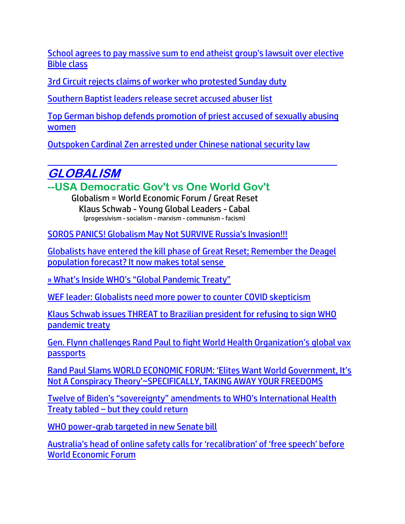[School agrees to pay massive sum to end atheist group's lawsuit over elective](https://www.wnd.com/2022/05/school-agrees-pay-massive-sum-end-atheist-groups-lawsuit-elective-bible-class/)  [Bible class](https://www.wnd.com/2022/05/school-agrees-pay-massive-sum-end-atheist-groups-lawsuit-elective-bible-class/)

[3rd Circuit rejects claims of worker who protested Sunday duty](https://www.wnd.com/2022/05/3rd-circuit-rejects-claims-worker-protested-sunday-duty/)

[Southern Baptist leaders release secret accused abuser list](https://inform.afa.net/optiext/optiextension.dll?ID=dHGdMJzPFXxaPhw6RSM8ny3t7taE0cOH_6N84DzhCt2mLGhZRZxSMZnAKC3BAKWORMnvFW60iTzWubyKCcFCAEdG1BgTUAdsrruC5zdv)

[Top German bishop defends promotion of priest accused of sexually abusing](https://www.lifesitenews.com/news/head-of-german-bishops-defends-promoting-priest-accused-of-sexual-abuse-this-was-no-faux-pas/?utm_source=top_news&utm_campaign=usa)  [women](https://www.lifesitenews.com/news/head-of-german-bishops-defends-promoting-priest-accused-of-sexual-abuse-this-was-no-faux-pas/?utm_source=top_news&utm_campaign=usa)

[Outspoken Cardinal Zen arrested under Chinese national security law](https://www.wnd.com/2022/05/outspoken-cardinal-zen-arrested-chinese-national-security-law/)

#### \_\_\_\_\_\_\_\_\_\_\_\_\_\_\_\_\_\_\_\_\_\_\_\_\_\_\_\_\_\_\_\_\_\_\_\_\_\_\_\_\_\_\_\_\_\_\_\_\_\_\_\_\_\_\_\_\_\_\_\_\_\_ **GLOBALISM**

**--USA Democratic Gov't vs One World Gov't**

Globalism = World Economic Forum / Great Reset Klaus Schwab - Young Global Leaders - Cabal (progessivism - socialism - marxism - communism - facism)

[SOROS PANICS! Globalism May Not SURVIVE Russia's Invasion!!!](https://ratherexposethem.org/2022/05/27/soros-panics-globalism-may-not-survive-russias-invasion/)

[Globalists have entered the kill phase of Great Reset; Remember the Deagel](https://leohohmann.com/2022/05/26/globalists-have-entered-the-kill-phase-of-great-reset-remember-the-deagel-population-forecast-it-now-makes-total-sense/)  [population forecast? It now makes total sense](https://leohohmann.com/2022/05/26/globalists-have-entered-the-kill-phase-of-great-reset-remember-the-deagel-population-forecast-it-now-makes-total-sense/)

[» What's Inside WHO's "Global Pandemic Treaty"](https://trk.cp20.com/click/gak4-3n9vat-8bnhau-f4obzxf6/)

[WEF leader: Globalists need more power to counter COVID skepticism](https://www.wnd.com/2022/05/wef-leader-globalists-need-power-counter-growing-covid-skepticism/)

[Klaus Schwab issues THREAT to Brazilian president for refusing to sign WHO](https://www.naturalnews.com/2022-05-27-schwab-threatens-bolsonaro-refusing-sign-pandemic-treaty.html)  [pandemic treaty](https://www.naturalnews.com/2022-05-27-schwab-threatens-bolsonaro-refusing-sign-pandemic-treaty.html)

[Gen. Flynn challenges Rand Paul to fight World Health Organization's global vax](https://www.lifesitenews.com/news/gen-flynn-challenges-rand-paul-to-fight-world-health-organizations-global-vax-passports/?utm_source=top_news&utm_campaign=usa)  [passports](https://www.lifesitenews.com/news/gen-flynn-challenges-rand-paul-to-fight-world-health-organizations-global-vax-passports/?utm_source=top_news&utm_campaign=usa)

[Rand Paul Slams WORLD ECONOMIC FORUM: 'Elites Want World Government, It's](https://ratherexposethem.org/2022/05/28/rand-paul-slams-world-economic-forum-elites-want-world-government-its-not-a-conspiracy-theoryspecifically-taking-away-your-freedoms/)  [Not A Conspiracy Theory'~SPECIFICALLY, TAKING AWAY YOUR FREEDOMS](https://ratherexposethem.org/2022/05/28/rand-paul-slams-world-economic-forum-elites-want-world-government-its-not-a-conspiracy-theoryspecifically-taking-away-your-freedoms/)

[Twelve of Biden's "sovereignty" amendments to WHO's International Health](https://www.naturalnews.com/2022-05-27-12-biden-sovereignty-amendments-who-iht-tabled.html)  Treaty tabled – [but they could return](https://www.naturalnews.com/2022-05-27-12-biden-sovereignty-amendments-who-iht-tabled.html)

[WHO power-grab targeted in new Senate bill](https://www.wnd.com/2022/05/power-grab-targeted-new-senate-bill/)

[Australia's head of online safety calls for 'recalibration' of 'free speech' before](https://www.naturalnews.com/2022-05-27-australia-head-online-safety-recalibration-free-speech.html)  [World Economic](https://www.naturalnews.com/2022-05-27-australia-head-online-safety-recalibration-free-speech.html) Forum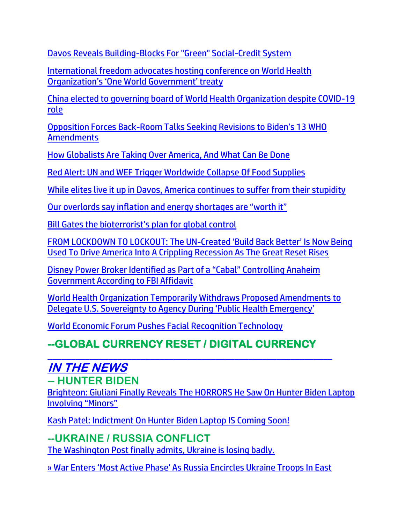[Davos Reveals Building-Blocks For "Green" Social-Credit System](https://www.zerohedge.com/geopolitical/davos-reveals-building-blocks-green-social-credit-system)

[International freedom advocates hosting conference on World Health](https://www.lifesitenews.com/news/international-freedom-advocates-hosting-conference-on-world-health-organizations-one-world-government-treaty/?utm_source=top_news&utm_campaign=usa)  [Organization's 'One World Government' treaty](https://www.lifesitenews.com/news/international-freedom-advocates-hosting-conference-on-world-health-organizations-one-world-government-treaty/?utm_source=top_news&utm_campaign=usa)

[China elected to governing board of World Health Organization despite COVID-19](https://www.lifesitenews.com/news/china-elected-to-governing-board-of-world-health-organization-despite-role-in-origin-of-covid-19/?utm_source=top_news&utm_campaign=usa)  [role](https://www.lifesitenews.com/news/china-elected-to-governing-board-of-world-health-organization-despite-role-in-origin-of-covid-19/?utm_source=top_news&utm_campaign=usa)

Opposition Forces Back-[Room Talks Seeking Revisions to Biden's 13 WHO](https://lists.youmaker.com/links/fcAESkGq0D/Jlid8tcrj/7xAbPNiP2/e2BLtX1gGh)  [Amendments](https://lists.youmaker.com/links/fcAESkGq0D/Jlid8tcrj/7xAbPNiP2/e2BLtX1gGh)

[How Globalists Are Taking Over America, And What Can Be Done](https://lists.youmaker.com/links/azdMRJlxkH/Jlid8tcrj/7xAbPNiP2/IMAYWUuG1R)

[Red Alert: UN and WEF Trigger Worldwide Collapse Of Food Supplies](https://ce-publiclw.naturalnews.com/ct.asp?id=A945BE2AB3496C51AFDD12FBBB2CFB7DB88FE4839B489E1625C800A7D46464443BB166BDD6FC6BA2E47D3C4864519B5B&ct=4aeUsz4AAABCWmgzMUFZJlNZFFJOzQAAF5mAAAP%2f8D7j3IAgAFRU0wACYaBPQxpobTQj0j2qNDaj4kbW3scgmAOgrzmRaiqqKShFyrcodcOR6N75s1yACgETFEk%2bi7kinChICiknZoA%3d)

[While elites live it up in Davos, America continues to suffer from their stupidity](https://alphanews.org/commentary-while-elites-live-it-up-in-davos-america-continues-to-suffer-from-their-stupidity/)

[Our overlords say inflation and energy shortages are "worth it"](https://www.zerohedge.com/news/2022-05-27/our-overlords-say-inflation-and-energy-shortages-are-worth-it)

[Bill Gates the bioterrorist's plan for global control](https://www.naturalnews.com/2022-05-27-bill-gates-bioterrorists-plan-for-global-control.html)

FROM LOCKDOWN TO LOCKOUT: The UN-[Created 'Build Back Better' Is Now Being](https://www.nowtheendbegins.com/build-back-better-joe-biden-pushing-america-into-recession-as-phase-iv-of-great-reset/)  [Used To Drive America Into A Crippling Recession As The Great Reset Rises](https://www.nowtheendbegins.com/build-back-better-joe-biden-pushing-america-into-recession-as-phase-iv-of-great-reset/)

[Disney Power Broker Identified as Part of a "Cabal" Controlling Anaheim](https://welovetrump.com/2022/05/27/power-broker-identified-as-part-of-a-cabal-controlling-anaheim-government-according-to-fbi-affidavit/)  [Government According to FBI Affidavit](https://welovetrump.com/2022/05/27/power-broker-identified-as-part-of-a-cabal-controlling-anaheim-government-according-to-fbi-affidavit/)

[World Health Organization Temporarily Withdraws Proposed Amendments to](https://welovetrump.com/2022/05/26/world-health-organization-temporarily-withdraws-proposed-amendments-to-delegate-u-s-sovereignty-to-agency-during-public-health-emergency/)  [Delegate U.S. Sovereignty to Agency During 'Public Health Emergency'](https://welovetrump.com/2022/05/26/world-health-organization-temporarily-withdraws-proposed-amendments-to-delegate-u-s-sovereignty-to-agency-during-public-health-emergency/)

[World Economic Forum Pushes Facial Recognition Technology](https://www.zerohedge.com/geopolitical/world-economic-forum-pushes-facial-recognition-technology)

## **--GLOBAL CURRENCY RESET / DIGITAL CURRENCY**

#### \_\_\_\_\_\_\_\_\_\_\_\_\_\_\_\_\_\_\_\_\_\_\_\_\_\_\_\_\_\_\_\_\_\_\_\_\_\_\_\_\_\_\_\_\_\_\_\_\_\_\_\_\_\_\_\_\_\_\_\_\_ **IN THE NEWS**

#### **-- HUNTER BIDEN**

[Brighteon: Giuliani Finally Reveals The HORRORS He Saw On Hunter Biden Laptop](https://ratherexposethem.org/2022/05/28/brighteon-giuliani-finally-reveals-the-horrors-he-saw-on-hunter-biden-laptop-involving-minors/)  [Involving "Minors"](https://ratherexposethem.org/2022/05/28/brighteon-giuliani-finally-reveals-the-horrors-he-saw-on-hunter-biden-laptop-involving-minors/)

[Kash Patel: Indictment On Hunter Biden Laptop IS Coming Soon!](https://welovetrump.com/2022/05/28/kash-patel-indictment-on-hunter-biden-laptop-is-coming-soon/)

#### **--UKRAINE / RUSSIA CONFLICT**

[The Washington Post finally admits, Ukraine is losing badly.](https://www.investmentwatchblog.com/the-washington-post-finally-admits-ukraine-is-losing-badly/)

[» War Enters 'Most Active Phase' As Russia Encircles Ukraine Troops In East](https://trk.cp20.com/click/gak4-3najfp-8bnood-f4obzxf9/)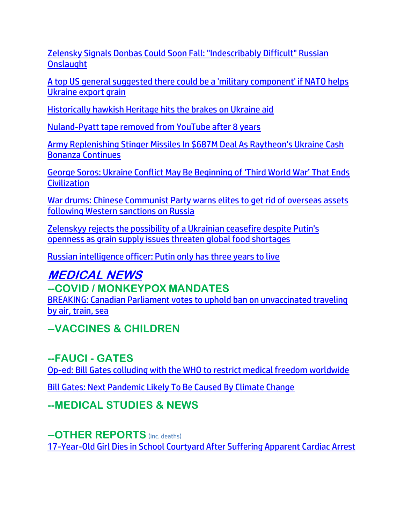[Zelensky Signals Donbas Could Soon Fall: "Indescribably Difficult" Russian](https://www.zerohedge.com/military/zelensky-signals-donbas-soon-fall-indescribably-difficult-russian-onslaught)  **[Onslaught](https://www.zerohedge.com/military/zelensky-signals-donbas-soon-fall-indescribably-difficult-russian-onslaught)** 

[A top US general suggested there could be a 'military component' if NATO helps](https://link.theblaze.com/click/27884632.903920/aHR0cHM6Ly93d3cudGhlYmxhemUuY29tL25ld3MvYS10b3AtdXMtZ2VuZXJhbC1zdWdnZXN0ZWQtdGhlcmUtY291bGQtYmUtYS1taWxpdGFyeS1jb21wb25lbnQtaWYtbmF0by1pcy10by1oZWxwLXVrcmFpbmUtZXhwb3J0LWdyYWluP3V0bV9zb3VyY2U9dGhlYmxhemUtN0RheVRyZW5kaW5nVGVzdCZ1dG1fbWVkaXVtPWVtYWlsJnV0bV9jYW1wYWlnbj1UaGUgQmxhemUgUE0gVHJlbmRpbmcgMjAyMi0wNS0yOSZ1dG1fdGVybT1BQ1RJVkUgTElTVCAtIDcgRGF5IEVuZ2FnZW1lbnQ/61f82015384ca325d2cdab60C17852b62)  [Ukraine export grain](https://link.theblaze.com/click/27884632.903920/aHR0cHM6Ly93d3cudGhlYmxhemUuY29tL25ld3MvYS10b3AtdXMtZ2VuZXJhbC1zdWdnZXN0ZWQtdGhlcmUtY291bGQtYmUtYS1taWxpdGFyeS1jb21wb25lbnQtaWYtbmF0by1pcy10by1oZWxwLXVrcmFpbmUtZXhwb3J0LWdyYWluP3V0bV9zb3VyY2U9dGhlYmxhemUtN0RheVRyZW5kaW5nVGVzdCZ1dG1fbWVkaXVtPWVtYWlsJnV0bV9jYW1wYWlnbj1UaGUgQmxhemUgUE0gVHJlbmRpbmcgMjAyMi0wNS0yOSZ1dG1fdGVybT1BQ1RJVkUgTElTVCAtIDcgRGF5IEVuZ2FnZW1lbnQ/61f82015384ca325d2cdab60C17852b62)

[Historically hawkish Heritage hits the brakes on Ukraine aid](https://www.wnd.com/2022/05/historically-hawkish-heritage-hits-brakes-ukraine-aid/)

[Nuland-Pyatt tape removed from YouTube after 8 years](https://www.naturalnews.com/2022-05-27-nuland-pyatt-tape-removed-from-youtube.html)

[Army Replenishing Stinger Missiles In \\$687M Deal As Raytheon's Ukraine Cash](https://www.zerohedge.com/military/army-replenishing-stinger-missiles-687m-deal-raytheons-ukraine-cash-bonanza-continues)  [Bonanza Continues](https://www.zerohedge.com/military/army-replenishing-stinger-missiles-687m-deal-raytheons-ukraine-cash-bonanza-continues)

[George Soros: Ukraine Conflict May Be Beginning of 'Third World War' That Ends](https://lists.youmaker.com/links/azdMRJlxkH/Jlid8tcrj/7xAbPNiP2/ve0OGgwUaj)  **[Civilization](https://lists.youmaker.com/links/azdMRJlxkH/Jlid8tcrj/7xAbPNiP2/ve0OGgwUaj)** 

[War drums: Chinese Communist Party warns elites to get rid of overseas assets](https://ce-publicdy.naturalnews.com/ct.asp?id=6A819AA5C8DDF1622F09239740F99ABA0FADF037A9D891FFDB6EB689A12CF902130971BB96118B98C0428B78A4AB66F4&ct=4aeUs3IAAABCWmgzMUFZJlNZdP%2fsMQAAGxmAAAPSEC%2fn3YAgAHBQADQMmQVPNTTER6KaP1TaVSSLi%2fP%2f7OhbcTHPRHkEFozd2pruPzI2yfNEXxTLeNmzj5Dgq28aAl50gcO9bmRdVBymMrleBTF94Q4W9DqJ9F3JFOFCQdP%2fsMQ%3d)  [following Western sanctions on Russia](https://ce-publicdy.naturalnews.com/ct.asp?id=6A819AA5C8DDF1622F09239740F99ABA0FADF037A9D891FFDB6EB689A12CF902130971BB96118B98C0428B78A4AB66F4&ct=4aeUs3IAAABCWmgzMUFZJlNZdP%2fsMQAAGxmAAAPSEC%2fn3YAgAHBQADQMmQVPNTTER6KaP1TaVSSLi%2fP%2f7OhbcTHPRHkEFozd2pruPzI2yfNEXxTLeNmzj5Dgq28aAl50gcO9bmRdVBymMrleBTF94Q4W9DqJ9F3JFOFCQdP%2fsMQ%3d)

[Zelenskyy rejects the possibility of a Ukrainian ceasefire despite Putin's](https://link.theblaze.com/click/27878511.931127/aHR0cHM6Ly93d3cudGhlYmxhemUuY29tL25ld3MvemVsZW5za3l5LXJlamVjdHMtdGhlLXBvc3NpYmlsaXR5LW9mLWEtdWtyYWluaWFuLWNlYXNlZmlyZS1kZXNwaXRlLXB1dGluLXMtb3Blbm5lc3MtYXMtZ3JhaW4tc3VwcGx5LWlzc3Vlcy10aHJlYXRlbi1nbG9iYWwtZm9vZC1zaG9ydGFnZXM_dXRtX3NvdXJjZT10aGVibGF6ZS03RGF5VHJlbmRpbmdUZXN0JnV0bV9tZWRpdW09ZW1haWwmdXRtX2NhbXBhaWduPVRoZSBCbGF6ZSBQTSBUcmVuZGluZyAyMDIyLTA1LTI4JnV0bV90ZXJtPUFDVElWRSBMSVNUIC0gNyBEYXkgRW5nYWdlbWVudA/61f82015384ca325d2cdab60C2df18ba5)  [openness as grain supply issues threaten global food shortages](https://link.theblaze.com/click/27878511.931127/aHR0cHM6Ly93d3cudGhlYmxhemUuY29tL25ld3MvemVsZW5za3l5LXJlamVjdHMtdGhlLXBvc3NpYmlsaXR5LW9mLWEtdWtyYWluaWFuLWNlYXNlZmlyZS1kZXNwaXRlLXB1dGluLXMtb3Blbm5lc3MtYXMtZ3JhaW4tc3VwcGx5LWlzc3Vlcy10aHJlYXRlbi1nbG9iYWwtZm9vZC1zaG9ydGFnZXM_dXRtX3NvdXJjZT10aGVibGF6ZS03RGF5VHJlbmRpbmdUZXN0JnV0bV9tZWRpdW09ZW1haWwmdXRtX2NhbXBhaWduPVRoZSBCbGF6ZSBQTSBUcmVuZGluZyAyMDIyLTA1LTI4JnV0bV90ZXJtPUFDVElWRSBMSVNUIC0gNyBEYXkgRW5nYWdlbWVudA/61f82015384ca325d2cdab60C2df18ba5)

[Russian intelligence officer: Putin only has three years to live](https://www.israelnationalnews.com/flashes/578211)

# **MEDICAL NEWS**

## **--COVID / MONKEYPOX MANDATES**

[BREAKING: Canadian Parliament votes to uphold ban on unvaccinated traveling](https://www.lifesitenews.com/news/breaking-canadian-parliament-votes-in-favor-of-upholding-travel-ban/?utm_source=top_news&utm_campaign=usa)  [by air, train, sea](https://www.lifesitenews.com/news/breaking-canadian-parliament-votes-in-favor-of-upholding-travel-ban/?utm_source=top_news&utm_campaign=usa)

**--VACCINES & CHILDREN**

**--FAUCI - GATES** [Op-ed: Bill Gates colluding with the WHO to restrict medical freedom worldwide](https://www.naturalnews.com/2022-05-29-bill-gates-colluding-who-restrict-medical-freedom.html)

[Bill Gates: Next Pandemic Likely To Be Caused By Climate Change](https://www.zerohedge.com/geopolitical/bill-gates-next-pandemic-likely-be-caused-climate-change)

**--MEDICAL STUDIES & NEWS**

**--OTHER REPORTS** (inc. deaths) [17-Year-Old Girl Dies in School Courtyard After Suffering Apparent Cardiac](https://welovetrump.com/2022/05/28/17-year-old-girl-dies-in-school-courtyard-after-suffering-apparent-cardiac-arrest/) Arrest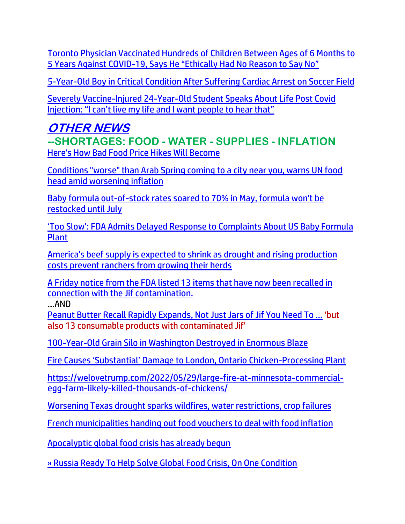[Toronto Physician Vaccinated Hundreds of Children Between Ages of 6 Months to](https://welovetrump.com/2022/05/28/toronto-physician-vaccinated-hundreds-of-children-between-ages-of-6-months-to-5-years-against-covid-19-says-he-ethically-had-no-reason-to-say-no/)  5 Years Against COVID-[19, Says He "Ethically Had No Reason to Say No"](https://welovetrump.com/2022/05/28/toronto-physician-vaccinated-hundreds-of-children-between-ages-of-6-months-to-5-years-against-covid-19-says-he-ethically-had-no-reason-to-say-no/)

[5-Year-Old Boy in Critical Condition After Suffering Cardiac Arrest on Soccer Field](https://welovetrump.com/2022/05/27/5-year-old-boy-in-critical-condition-after-suffering-cardiac-arrest-on-soccer-field/)

[Severely Vaccine-Injured 24-Year-Old Student Speaks About Life Post Covid](https://expose-news.com/2022/05/30/severely-vaccine-injured-24yo-student-speaks-out/)  [Injection: "I can't live my life and I want people to hear that"](https://expose-news.com/2022/05/30/severely-vaccine-injured-24yo-student-speaks-out/)

#### **OTHER NEWS --SHORTAGES: FOOD - WATER - SUPPLIES - INFLATION** [Here's How Bad Food Price Hikes Will Become](https://lists.youmaker.com/links/CJTutZMo1B/Jlid8tcrj/7xAbPNiP2/peTuLM7bP4)

[Conditions "worse" than Arab Spring coming to a city near you, warns UN food](https://ce-publicdy.naturalnews.com/ct.asp?id=C221879D45C20F7132FA68D149ED2C76B35A355ABB85570BE9E0C05C428CA443AE7B64ECF7FBD208D027BFE8695161FB&ct=4aeUs18AAABCWmgzMUFZJlNZkVwUowAAFhmAAAPSED%2fn3IAgAEiKeEjamNQ%2fVDAap%2blDZTajagek0aVAkWrfHGY%2fitjTpTV83lRAoPHsyCExvvNlchpMONSG%2bCC4QmnlljLDQljDTsz4c0VUn8XckU4UJCRXBSjA)  [head amid worsening inflation](https://ce-publicdy.naturalnews.com/ct.asp?id=C221879D45C20F7132FA68D149ED2C76B35A355ABB85570BE9E0C05C428CA443AE7B64ECF7FBD208D027BFE8695161FB&ct=4aeUs18AAABCWmgzMUFZJlNZkVwUowAAFhmAAAPSED%2fn3IAgAEiKeEjamNQ%2fVDAap%2blDZTajagek0aVAkWrfHGY%2fitjTpTV83lRAoPHsyCExvvNlchpMONSG%2bCC4QmnlljLDQljDTsz4c0VUn8XckU4UJCRXBSjA)

[Baby formula out-of-stock rates soared to 70% in May, formula won't be](https://link.theblaze.com/click/27877047.930949/aHR0cHM6Ly93d3cudGhlYmxhemUuY29tL25ld3MvYmFieS1mb3JtdWxhLW91dC1vZi1zdG9jay1yYXRlcy1zb2FyZWQtdG8tNzAtaW4tbWF5LWZvcm11bGEtd29uLXQtYmUtcmVzdG9ja2VkLXVudGlsLWp1bHk_dXRtX3NvdXJjZT10aGVibGF6ZS03RGF5VHJlbmRpbmdUZXN0JnV0bV9tZWRpdW09ZW1haWwmdXRtX2NhbXBhaWduPUFmdGVybm9vbiBBdXRvIFRyZW5kaW5nIDcgRGF5IEVuZ2FnZWQgMjAyMi0wNS0yOCZ1dG1fdGVybT1BQ1RJVkUgTElTVCAtIDcgRGF5IEVuZ2FnZW1lbnQ/61f82015384ca325d2cdab60C177cd3a9)  [restocked until July](https://link.theblaze.com/click/27877047.930949/aHR0cHM6Ly93d3cudGhlYmxhemUuY29tL25ld3MvYmFieS1mb3JtdWxhLW91dC1vZi1zdG9jay1yYXRlcy1zb2FyZWQtdG8tNzAtaW4tbWF5LWZvcm11bGEtd29uLXQtYmUtcmVzdG9ja2VkLXVudGlsLWp1bHk_dXRtX3NvdXJjZT10aGVibGF6ZS03RGF5VHJlbmRpbmdUZXN0JnV0bV9tZWRpdW09ZW1haWwmdXRtX2NhbXBhaWduPUFmdGVybm9vbiBBdXRvIFRyZW5kaW5nIDcgRGF5IEVuZ2FnZWQgMjAyMi0wNS0yOCZ1dG1fdGVybT1BQ1RJVkUgTElTVCAtIDcgRGF5IEVuZ2FnZW1lbnQ/61f82015384ca325d2cdab60C177cd3a9)

['Too Slow': FDA Admits Delayed Response to Complaints About US Baby Formula](https://lists.youmaker.com/links/fcAESkGq0D/Jlid8tcrj/7xAbPNiP2/Jekfk5Dv3Z)  [Plant](https://lists.youmaker.com/links/fcAESkGq0D/Jlid8tcrj/7xAbPNiP2/Jekfk5Dv3Z)

[America's beef supply is expected to shrink as drought and rising production](https://link.theblaze.com/click/27878511.931127/aHR0cHM6Ly93d3cudGhlYmxhemUuY29tL25ld3MvYW1lcmljYS1zLWJlZWYtc3VwcGx5LWlzLWV4cGVjdGVkLXRvLXNocmluay1hcy1kcm91Z2h0LWFuZC1yaXNpbmctcHJvZHVjdGlvbi1jb3N0cy1wcmV2ZW50LXJhbmNoZXJzLWZyb20tZ3Jvd2luZy1oZXJkLXNpemVzP3V0bV9zb3VyY2U9dGhlYmxhemUtN0RheVRyZW5kaW5nVGVzdCZ1dG1fbWVkaXVtPWVtYWlsJnV0bV9jYW1wYWlnbj1UaGUgQmxhemUgUE0gVHJlbmRpbmcgMjAyMi0wNS0yOCZ1dG1fdGVybT1BQ1RJVkUgTElTVCAtIDcgRGF5IEVuZ2FnZW1lbnQ/61f82015384ca325d2cdab60C0b23c35e)  [costs prevent ranchers from growing their herds](https://link.theblaze.com/click/27878511.931127/aHR0cHM6Ly93d3cudGhlYmxhemUuY29tL25ld3MvYW1lcmljYS1zLWJlZWYtc3VwcGx5LWlzLWV4cGVjdGVkLXRvLXNocmluay1hcy1kcm91Z2h0LWFuZC1yaXNpbmctcHJvZHVjdGlvbi1jb3N0cy1wcmV2ZW50LXJhbmNoZXJzLWZyb20tZ3Jvd2luZy1oZXJkLXNpemVzP3V0bV9zb3VyY2U9dGhlYmxhemUtN0RheVRyZW5kaW5nVGVzdCZ1dG1fbWVkaXVtPWVtYWlsJnV0bV9jYW1wYWlnbj1UaGUgQmxhemUgUE0gVHJlbmRpbmcgMjAyMi0wNS0yOCZ1dG1fdGVybT1BQ1RJVkUgTElTVCAtIDcgRGF5IEVuZ2FnZW1lbnQ/61f82015384ca325d2cdab60C0b23c35e)

A Friday [notice from the FDA](https://www.fda.gov/safety/major-product-recalls/2022-recalls-food-products-associated-peanut-butter-jm-smucker-company-due-potential-risk-salmonella) listed 13 items that have now been recalled in connection with the Jif contamination.

…AND

Peanut [Butter Recall Rapidly Expands, Not Just Jars of Jif You Need To ...](https://projectgrayman.net/index.php/2022/05/29/peanut-butter-recall-rapidly-expands-not-just-jars-of-jif-you-need-to-worry-about/) 'but also 13 consumable products with contaminated Jif'

[100-Year-Old Grain Silo in Washington Destroyed in Enormous Blaze](https://welovetrump.com/2022/05/28/100-year-old-grain-silo-in-washington-destroyed-in-enormous-blaze/)

[Fire Causes 'Substantial' Damage to London, Ontario Chicken](https://welovetrump.com/2022/05/28/fire-causes-substantial-damage-to-london-ontario-chicken-processing-plant/)-Processing Plant

[https://welovetrump.com/2022/05/29/large-fire-at-minnesota-commercial](https://welovetrump.com/2022/05/29/large-fire-at-minnesota-commercial-egg-farm-likely-killed-thousands-of-chickens/)[egg-farm-likely-killed-thousands-of-chickens/](https://welovetrump.com/2022/05/29/large-fire-at-minnesota-commercial-egg-farm-likely-killed-thousands-of-chickens/)

[Worsening Texas drought sparks wildfires, water restrictions, crop failures](https://www.texastribune.org/2022/05/25/texas-drought-wildfires-heat/)

[French municipalities handing out food vouchers to deal with food inflation](https://www.naturalnews.com/2022-05-27-french-municipalities-handing-out-food-vouchers-inflation.html)

[Apocalyptic global food crisis has already begun](https://www.naturalnews.com/2022-05-27-apocalyptic-global-food-crisis-has-already-begun.html)

[» Russia Ready To Help Solve Global Food Crisis, On One Condition](https://trk.cp20.com/click/gak4-3na6zu-8bnl5y-f4obzxf2/)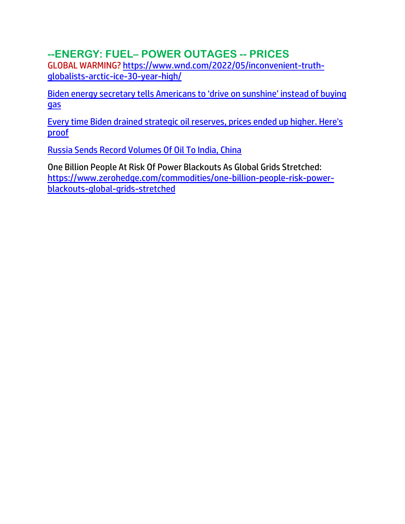#### **--ENERGY: FUEL– POWER OUTAGES -- PRICES**

GLOBAL WARMING? [https://www.wnd.com/2022/05/inconvenient-truth](https://www.wnd.com/2022/05/inconvenient-truth-globalists-arctic-ice-30-year-high/)[globalists-arctic-ice-30-year-high/](https://www.wnd.com/2022/05/inconvenient-truth-globalists-arctic-ice-30-year-high/)

[Biden energy secretary tells Americans to 'drive on sunshine' instead of buying](https://ratherexposethem.org/2022/05/29/biden-energy-secretary-tells-americans-to-drive-on-sunshine-instead-of-buying-gas/)  [gas](https://ratherexposethem.org/2022/05/29/biden-energy-secretary-tells-americans-to-drive-on-sunshine-instead-of-buying-gas/)

[Every time Biden drained strategic oil reserves, prices ended up higher. Here's](https://www.wnd.com/2022/05/every-time-biden-drained-strategic-oil-reserves-prices-ended-higher-proof/)  [proof](https://www.wnd.com/2022/05/every-time-biden-drained-strategic-oil-reserves-prices-ended-higher-proof/)

[Russia Sends Record Volumes Of Oil To India, China](https://www.zerohedge.com/economics/russia-sends-record-volumes-oil-india-china)

One Billion People At Risk Of Power Blackouts As Global Grids Stretched: [https://www.zerohedge.com/commodities/one-billion-people-risk-power](https://www.zerohedge.com/commodities/one-billion-people-risk-power-blackouts-global-grids-stretched)[blackouts-global-grids-stretched](https://www.zerohedge.com/commodities/one-billion-people-risk-power-blackouts-global-grids-stretched)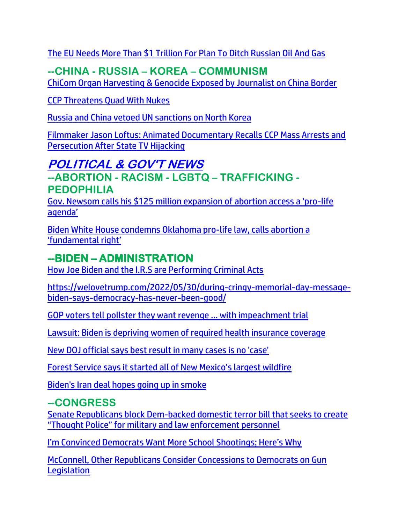[The EU Needs More Than \\$1 Trillion For Plan To Ditch Russian Oil And Gas](https://www.zerohedge.com/energy/eu-needs-more-1-trillion-plan-ditch-russian-oil-and-gas)

## **--CHINA - RUSSIA – KOREA – COMMUNISM**

ChiCom [Organ Harvesting & Genocide Exposed by Journalist on China Border](https://ratherexposethem.org/2022/05/27/chicom-organ-harvesting-genocide-exposed-by-journalist-on-china-border/)

[CCP Threatens Quad With Nukes](https://lists.youmaker.com/links/G7hyTCse5p/Jlid8tcrj/7xAbPNiP2/pZ7s3SHBfed) 

[Russia and China vetoed UN sanctions on North Korea](https://link.theblaze.com/click/27878511.931127/aHR0cHM6Ly93d3cudGhlYmxhemUuY29tL25ld3MvcnVzc2lhLWFuZC1jaGluYS12ZXRvZWQtdW4tc2FuY3Rpb25zLW9uLW5vcnRoLWtvcmVhP3V0bV9zb3VyY2U9dGhlYmxhemUtN0RheVRyZW5kaW5nVGVzdCZ1dG1fbWVkaXVtPWVtYWlsJnV0bV9jYW1wYWlnbj1UaGUgQmxhemUgUE0gVHJlbmRpbmcgMjAyMi0wNS0yOCZ1dG1fdGVybT1BQ1RJVkUgTElTVCAtIDcgRGF5IEVuZ2FnZW1lbnQ/61f82015384ca325d2cdab60C865aedff)

[Filmmaker Jason Loftus: Animated Documentary Recalls CCP Mass Arrests and](https://lists.youmaker.com/links/i2U8zo4Mcc/Jlid8tcrj/7xAbPNiP2/g7CVTunBWy2)  [Persecution After State TV Hijacking](https://lists.youmaker.com/links/i2U8zo4Mcc/Jlid8tcrj/7xAbPNiP2/g7CVTunBWy2)

## **POLITICAL & GOV'T NEWS**

**--ABORTION - RACISM - LGBTQ – TRAFFICKING - PEDOPHILIA**

[Gov. Newsom calls his \\$125 million expansion of abortion access a 'pro](https://www.lifesitenews.com/news/gov-newsom-calls-125-million-expansion-of-abortion-access-a-pro-life-agenda/?utm_source=featured&utm_campaign=usa)-life [agenda'](https://www.lifesitenews.com/news/gov-newsom-calls-125-million-expansion-of-abortion-access-a-pro-life-agenda/?utm_source=featured&utm_campaign=usa)

[Biden White House condemns Oklahoma pro-life law, calls abortion a](https://www.lifesitenews.com/news/biden-press-secretary-condemns-oklahoma-pro-life-law-calls-abortion-a-fundamental-right/?utm_source=top_news&utm_campaign=usa)  ['fundamental right'](https://www.lifesitenews.com/news/biden-press-secretary-condemns-oklahoma-pro-life-law-calls-abortion-a-fundamental-right/?utm_source=top_news&utm_campaign=usa)

## **--BIDEN – ADMINISTRATION**

[How Joe Biden and the I.R.S are Performing Criminal Acts](https://ratherexposethem.org/2022/05/27/how-joe-biden-and-the-i-r-s-are-performing-criminal-acts/)

https://welovetrump.com/2022/05/30/during-cringy-memorial-day-messagebiden-says-democracy-has-never-been-good/

[GOP voters tell pollster they want revenge ... with impeachment trial](https://inform.afa.net/optiext/optiextension.dll?ID=dHGdGksD4kmZvJPiZDnnAmGMnfamg93QUKm_N1lhygXQQSltQDQltEsKBiLRKey1yNs%2BjkSgIcXGX1dr6pt_zYbMR1T6KhIlMatXUcdM)

[Lawsuit: Biden is depriving women of required health insurance coverage](https://www.wnd.com/2022/05/lawsuit-charges-biden-depriving-women-required-health-insurance-coverage/)

[New DOJ official says best result in many cases is no 'case'](https://www.wnd.com/2022/05/new-doj-official-says-best-result-many-cases-no-case/)

[Forest Service says it started all of New Mexico's largest wildfire](https://www.reuters.com/business/environment/forest-service-says-it-started-all-new-mexicos-largest-wildfire-2022-05-27/)

[Biden's Iran deal hopes going up in smoke](https://www.wnd.com/2022/05/bidens-iran-deal-hopes-going-smoke/)

#### **--CONGRESS**

[Senate Republicans block Dem-backed domestic terror bill that seeks to create](https://www.naturalnews.com/2022-05-29-senate-republicans-block-dems-domestic-terror-bill.html)  ["Thought Police" for military and law enforcement personnel](https://www.naturalnews.com/2022-05-29-senate-republicans-block-dems-domestic-terror-bill.html)

I['m Convinced Democrats Want More School Shootings; Here's Why](https://ratherexposethem.org/2022/05/29/im-convinced-democrats-want-more-school-shootings-heres-why/)

[McConnell, Other Republicans Consider Concessions to Democrats on Gun](https://lists.youmaker.com/links/fcAESkGq0D/Jlid8tcrj/7xAbPNiP2/HObUVct8Wq)  **[Legislation](https://lists.youmaker.com/links/fcAESkGq0D/Jlid8tcrj/7xAbPNiP2/HObUVct8Wq)**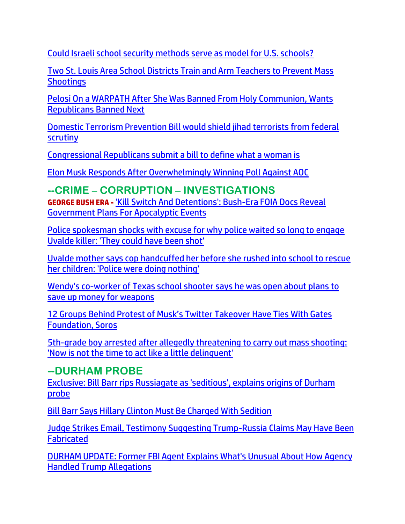[Could Israeli school security methods serve as model for U.S. schools?](https://www.wnd.com/2022/05/israeli-school-security-methods-serve-model-u-s-schools/)

[Two St. Louis Area School Districts Train and Arm Teachers to Prevent Mass](https://welovetrump.com/2022/05/27/two-st-louis-area-school-districts-train-and-arm-teachers-to-prevent-mass-shootings/)  **[Shootings](https://welovetrump.com/2022/05/27/two-st-louis-area-school-districts-train-and-arm-teachers-to-prevent-mass-shootings/)** 

[Pelosi On a WARPATH After She Was Banned From Holy Communion, Wants](https://ratherexposethem.org/2022/05/28/pelosi-on-a-warpath-after-she-was-banned-from-holy-communion-wants-republicans-banned-next/)  [Republicans Banned Next](https://ratherexposethem.org/2022/05/28/pelosi-on-a-warpath-after-she-was-banned-from-holy-communion-wants-republicans-banned-next/)

[Domestic Terrorism Prevention Bill would shield jihad terrorists from federal](https://ratherexposethem.org/2022/05/28/domestic-terrorism-prevention-bill-would-shield-jihad-terrorists-from-federal-scrutiny/)  **[scrutiny](https://ratherexposethem.org/2022/05/28/domestic-terrorism-prevention-bill-would-shield-jihad-terrorists-from-federal-scrutiny/)** 

[Congressional Republicans submit a bill to define what a woman is](https://link.theblaze.com/click/27886129.1043309/aHR0cHM6Ly93d3cudGhlYmxhemUuY29tL25ld3MvY29uZ3Jlc3Npb25hbC1yZXB1YmxpY2Fucy1zdWJtaXQtYS1iaWxsLXRvLWRlZmluZS13aGF0LWEtd29tYW4taXM_dXRtX3NvdXJjZT10aGVibGF6ZS1kYWlseUFNJnV0bV9tZWRpdW09ZW1haWwmdXRtX2NhbXBhaWduPURhaWx5LU5ld3NsZXR0ZXJfX0FNIDIwMjItMDUtMzAmdXRtX3Rlcm09QUNUSVZFIExJU1QgLSBUaGVCbGF6ZSBEYWlseSBBTQ/61f82015384ca325d2cdab60Cd52aa973)

[Elon Musk Responds After Overwhelmingly Winning Poll Against AOC](https://lists.youmaker.com/links/CJTutZMo1B/Jlid8tcrj/7xAbPNiP2/gNvQxHQ4XS)

**--CRIME – CORRUPTION – INVESTIGATIONS GEORGE BUSH ERA -** ['Kill Switch And Detentions': Bush-Era FOIA Docs Reveal](https://www.zerohedge.com/political/kill-switch-and-detentions-bush-era-foia-docs-reveal-government-plans-apocalyptic-events)  [Government Plans For Apocalyptic Events](https://www.zerohedge.com/political/kill-switch-and-detentions-bush-era-foia-docs-reveal-government-plans-apocalyptic-events)

[Police spokesman shocks with excuse for why police waited so long to engage](https://link.theblaze.com/click/27862226.1149632/aHR0cHM6Ly93d3cudGhlYmxhemUuY29tL25ld3MvdGV4YXMtZHBzLWNyaXRpY2lzbS1vZmZpY2Vycy1jb3VsZC1oYXZlLWJlZW4tc2hvdD91dG1fc291cmNlPXRoZWJsYXplLWJyZWFraW5nJnV0bV9tZWRpdW09ZW1haWwmdXRtX2NhbXBhaWduPTIwMjIwNTI3VHJlbmRpbmctT3JvdXJrZVdyaXRpbmdzJnV0bV90ZXJtPUFDVElWRSBMSVNUIC0gVGhlQmxhemUgQnJlYWtpbmcgTmV3cw/61f82015384ca325d2cdab60Cb7bcd1b8)  [Uvalde killer: 'They could have been shot'](https://link.theblaze.com/click/27862226.1149632/aHR0cHM6Ly93d3cudGhlYmxhemUuY29tL25ld3MvdGV4YXMtZHBzLWNyaXRpY2lzbS1vZmZpY2Vycy1jb3VsZC1oYXZlLWJlZW4tc2hvdD91dG1fc291cmNlPXRoZWJsYXplLWJyZWFraW5nJnV0bV9tZWRpdW09ZW1haWwmdXRtX2NhbXBhaWduPTIwMjIwNTI3VHJlbmRpbmctT3JvdXJrZVdyaXRpbmdzJnV0bV90ZXJtPUFDVElWRSBMSVNUIC0gVGhlQmxhemUgQnJlYWtpbmcgTmV3cw/61f82015384ca325d2cdab60Cb7bcd1b8)

[Uvalde mother says cop handcuffed her before she rushed into school to rescue](https://link.theblaze.com/click/27865464.937331/aHR0cHM6Ly93d3cudGhlYmxhemUuY29tL25ld3MvdXZhbGRlLW1vdGhlci1hbGxlZ2VkbHktZGV0YWluZWQtcnVzaGVkLWludG8tc2Nob29sP3V0bV9zb3VyY2U9dGhlYmxhemUtN0RheVRyZW5kaW5nVGVzdCZ1dG1fbWVkaXVtPWVtYWlsJnV0bV9jYW1wYWlnbj1BZnRlcm5vb24gQXV0byBUcmVuZGluZyA3IERheSBFbmdhZ2VkIDIwMjItMDUtMjcmdXRtX3Rlcm09QUNUSVZFIExJU1QgLSA3IERheSBFbmdhZ2VtZW50/61f82015384ca325d2cdab60Cdb3ccfa8)  [her children: 'Police were doing nothing'](https://link.theblaze.com/click/27865464.937331/aHR0cHM6Ly93d3cudGhlYmxhemUuY29tL25ld3MvdXZhbGRlLW1vdGhlci1hbGxlZ2VkbHktZGV0YWluZWQtcnVzaGVkLWludG8tc2Nob29sP3V0bV9zb3VyY2U9dGhlYmxhemUtN0RheVRyZW5kaW5nVGVzdCZ1dG1fbWVkaXVtPWVtYWlsJnV0bV9jYW1wYWlnbj1BZnRlcm5vb24gQXV0byBUcmVuZGluZyA3IERheSBFbmdhZ2VkIDIwMjItMDUtMjcmdXRtX3Rlcm09QUNUSVZFIExJU1QgLSA3IERheSBFbmdhZ2VtZW50/61f82015384ca325d2cdab60Cdb3ccfa8)

[Wendy's co-worker of Texas school shooter says he was open about plans to](https://link.theblaze.com/click/27862226.1149632/aHR0cHM6Ly93d3cudGhlYmxhemUuY29tL25ld3MvdXZhbGRlLXNob290ZXItd2VuZHlzLWNvd29ya2VyLW1vbmV5P3V0bV9zb3VyY2U9dGhlYmxhemUtYnJlYWtpbmcmdXRtX21lZGl1bT1lbWFpbCZ1dG1fY2FtcGFpZ249MjAyMjA1MjdUcmVuZGluZy1Pcm91cmtlV3JpdGluZ3MmdXRtX3Rlcm09QUNUSVZFIExJU1QgLSBUaGVCbGF6ZSBCcmVha2luZyBOZXdz/61f82015384ca325d2cdab60Cf3a3dee1)  [save up money for weapons](https://link.theblaze.com/click/27862226.1149632/aHR0cHM6Ly93d3cudGhlYmxhemUuY29tL25ld3MvdXZhbGRlLXNob290ZXItd2VuZHlzLWNvd29ya2VyLW1vbmV5P3V0bV9zb3VyY2U9dGhlYmxhemUtYnJlYWtpbmcmdXRtX21lZGl1bT1lbWFpbCZ1dG1fY2FtcGFpZ249MjAyMjA1MjdUcmVuZGluZy1Pcm91cmtlV3JpdGluZ3MmdXRtX3Rlcm09QUNUSVZFIExJU1QgLSBUaGVCbGF6ZSBCcmVha2luZyBOZXdz/61f82015384ca325d2cdab60Cf3a3dee1)

[12 Groups Behind Protest of Musk's Twitter Takeover Have Ties With Gates](https://lists.youmaker.com/links/fcAESkGq0D/Jlid8tcrj/7xAbPNiP2/HGtBb7qUb4)  [Foundation, Soros](https://lists.youmaker.com/links/fcAESkGq0D/Jlid8tcrj/7xAbPNiP2/HGtBb7qUb4)

[5th-grade boy arrested after allegedly threatening to carry out mass shooting:](https://link.theblaze.com/click/27889556.928997/aHR0cHM6Ly93d3cudGhlYmxhemUuY29tL25ld3MvNXRoLWdyYWRlci1hcnJlc3RlZC1zaG9vdGluZy10aHJlYXQ_dXRtX3NvdXJjZT10aGVibGF6ZS03RGF5VHJlbmRpbmdUZXN0JnV0bV9tZWRpdW09ZW1haWwmdXRtX2NhbXBhaWduPUFmdGVybm9vbiBBdXRvIFRyZW5kaW5nIDcgRGF5IEVuZ2FnZWQgMjAyMi0wNS0zMCZ1dG1fdGVybT1BQ1RJVkUgTElTVCAtIDcgRGF5IEVuZ2FnZW1lbnQ/61f82015384ca325d2cdab60C1f0efbc0)  ['Now is not the time to act like a little delinquent'](https://link.theblaze.com/click/27889556.928997/aHR0cHM6Ly93d3cudGhlYmxhemUuY29tL25ld3MvNXRoLWdyYWRlci1hcnJlc3RlZC1zaG9vdGluZy10aHJlYXQ_dXRtX3NvdXJjZT10aGVibGF6ZS03RGF5VHJlbmRpbmdUZXN0JnV0bV9tZWRpdW09ZW1haWwmdXRtX2NhbXBhaWduPUFmdGVybm9vbiBBdXRvIFRyZW5kaW5nIDcgRGF5IEVuZ2FnZWQgMjAyMi0wNS0zMCZ1dG1fdGVybT1BQ1RJVkUgTElTVCAtIDcgRGF5IEVuZ2FnZW1lbnQ/61f82015384ca325d2cdab60C1f0efbc0)

#### **--DURHAM PROBE**

[Exclusive: Bill Barr rips Russiagate as 'seditious', explains origins of Durham](https://link.theblaze.com/click/27834279.1147628/aHR0cHM6Ly93d3cudGhlYmxhemUuY29tL25ld3MvZXhjbHVzaXZlLWJpbGwtYmFyci1ydXNzaWFnYXRlLXNlZGl0aW91cz91dG1fc291cmNlPXRoZWJsYXplLWJyZWFraW5nJnV0bV9tZWRpdW09ZW1haWwmdXRtX2NhbXBhaWduPTIwMjIwNTI2U3BvbnNvcmVkVHJlbmRpbmctUmV2ZWxhdGlvbk1lZGlhJnV0bV90ZXJtPUFDVElWRSBMSVNUIC0gVGhlQmxhemUgQnJlYWtpbmcgTmV3cw/61f82015384ca325d2cdab60C2e421c5c)  [probe](https://link.theblaze.com/click/27834279.1147628/aHR0cHM6Ly93d3cudGhlYmxhemUuY29tL25ld3MvZXhjbHVzaXZlLWJpbGwtYmFyci1ydXNzaWFnYXRlLXNlZGl0aW91cz91dG1fc291cmNlPXRoZWJsYXplLWJyZWFraW5nJnV0bV9tZWRpdW09ZW1haWwmdXRtX2NhbXBhaWduPTIwMjIwNTI2U3BvbnNvcmVkVHJlbmRpbmctUmV2ZWxhdGlvbk1lZGlhJnV0bV90ZXJtPUFDVElWRSBMSVNUIC0gVGhlQmxhemUgQnJlYWtpbmcgTmV3cw/61f82015384ca325d2cdab60C2e421c5c)

[Bill Barr Says Hillary Clinton Must Be Charged With Sedition](https://welovetrump.com/2022/05/28/bill-barr-says-hillary-clinton-must-be-charged-with-sedition/)

[Judge Strikes Email, Testimony Suggesting Trump-Russia Claims May Have Been](https://lists.youmaker.com/links/fcAESkGq0D/Jlid8tcrj/7xAbPNiP2/qGbs0KYQz)  **Fabricated** 

[DURHAM UPDATE: Former FBI Agent Explains What's Unusual About How Agency](https://lists.youmaker.com/links/CJTutZMo1B/Jlid8tcrj/7xAbPNiP2/GVsm0D7S9UD)  [Handled Trump Allegations](https://lists.youmaker.com/links/CJTutZMo1B/Jlid8tcrj/7xAbPNiP2/GVsm0D7S9UD)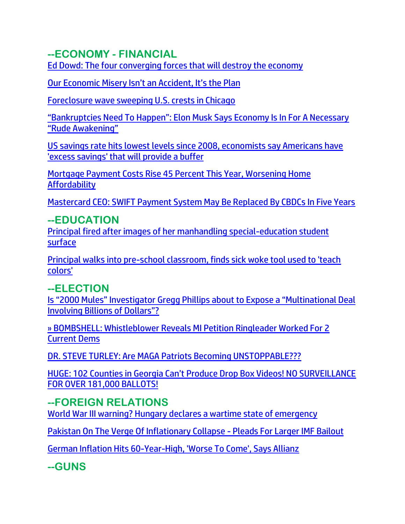### **--ECONOMY - FINANCIAL**

[Ed Dowd: The four converging forces that will destroy the economy](https://ce-publiclw.naturalnews.com/ct.asp?id=355B46EC5DE26B514F4553FA42FDEA41894055ECF00CD25274796DC3DFCBD84FD1D5AC815A7BC63330E070C94F2BA175&ct=4aeUsz4AAABCWmgzMUFZJlNZPZkk2AAAF5mAAAOvcD%2fj3IAgAEEU2mkemUMm1GhtCjQ0AAABnM3vvdG5UVEaBQaVC2Eqs0A7SJok7S41ht96T4Af0s7xhgGyLuSKcKEgezJJsA%3d%3d)

[Our Economic Misery Isn't an Accident, It's the Plan](https://ratherexposethem.org/2022/05/27/our-economic-misery-isnt-an-accident-its-the-plan/)

[Foreclosure wave sweeping U.S. crests in Chicago](https://www.wnd.com/2022/05/foreclosure-wave-sweeping-u-s-crests-chicago/)

["Bankruptcies Need To Happen": Elon Musk Says Economy Is In For A Necessary](https://www.zerohedge.com/markets/bankruptcies-need-happen-elon-musk-says-economy-necessary-rude-awakening)  ["Rude Awakening"](https://www.zerohedge.com/markets/bankruptcies-need-happen-elon-musk-says-economy-necessary-rude-awakening)

US savings rate hits lowest levels [since 2008, economists say Americans have](https://link.theblaze.com/click/27884350.1030238/aHR0cHM6Ly93d3cudGhlYmxhemUuY29tL25ld3MvdXMtc2F2aW5ncy1yYXRlLWhpdHMtbG93ZXN0LWxldmVscy1zaW5jZS0yMDA4LWVjb25vbWlzdHMtc2F5LWFtZXJpY2Fucy1oYXZlLWV4Y2Vzcy1zYXZpbmdzLXRoYXQtd2lsbC1wcm92aWRlLWJ1ZmZlcj91dG1fc291cmNlPXRoZWJsYXplLWRhaWx5UE0mdXRtX21lZGl1bT1lbWFpbCZ1dG1fY2FtcGFpZ249RGFpbHktTmV3c2xldHRlcl9fUE0gMjAyMi0wNS0yOSZ1dG1fdGVybT1BQ1RJVkUgTElTVCAtIFRoZUJsYXplIERhaWx5IFBN/61f82015384ca325d2cdab60C7c4da62e)  ['excess savings' that will provide a buffer](https://link.theblaze.com/click/27884350.1030238/aHR0cHM6Ly93d3cudGhlYmxhemUuY29tL25ld3MvdXMtc2F2aW5ncy1yYXRlLWhpdHMtbG93ZXN0LWxldmVscy1zaW5jZS0yMDA4LWVjb25vbWlzdHMtc2F5LWFtZXJpY2Fucy1oYXZlLWV4Y2Vzcy1zYXZpbmdzLXRoYXQtd2lsbC1wcm92aWRlLWJ1ZmZlcj91dG1fc291cmNlPXRoZWJsYXplLWRhaWx5UE0mdXRtX21lZGl1bT1lbWFpbCZ1dG1fY2FtcGFpZ249RGFpbHktTmV3c2xldHRlcl9fUE0gMjAyMi0wNS0yOSZ1dG1fdGVybT1BQ1RJVkUgTElTVCAtIFRoZUJsYXplIERhaWx5IFBN/61f82015384ca325d2cdab60C7c4da62e)

[Mortgage Payment Costs Rise 45 Percent This Year, Worsening Home](https://lists.youmaker.com/links/byTH4blJbD/Jlid8tcrj/7xAbPNiP2/qk0K70c7iAn)  **[Affordability](https://lists.youmaker.com/links/byTH4blJbD/Jlid8tcrj/7xAbPNiP2/qk0K70c7iAn)** 

[Mastercard CEO: SWIFT Payment System May Be Replaced By CBDCs In Five Years](https://www.zerohedge.com/geopolitical/mastercard-ceo-swift-payment-system-may-be-replaced-cbdcs-five-years)

### **--EDUCATION**

[Principal fired after images of her manhandling special-education student](https://www.wnd.com/2022/05/principal-fired-images-manhandling-special-education-student-surface/)  [surface](https://www.wnd.com/2022/05/principal-fired-images-manhandling-special-education-student-surface/)

[Principal walks into pre-school classroom, finds sick woke tool used to 'teach](https://www.wnd.com/2022/05/principal-walks-pre-school-classroom-finds-sick-woke-tool-used-teach-colors/)  [colors'](https://www.wnd.com/2022/05/principal-walks-pre-school-classroom-finds-sick-woke-tool-used-teach-colors/)

## **--ELECTION**

[Is "2000 Mules" Investigator Gregg Phillips about to Expose a "Multinational Deal](https://welovetrump.com/2022/05/28/is-2000-mules-investigator-gregg-phillips-about-to-expose-a-multinational-deal-involving-billions-of-dollars/)  [Involving Billions of Dollars"?](https://welovetrump.com/2022/05/28/is-2000-mules-investigator-gregg-phillips-about-to-expose-a-multinational-deal-involving-billions-of-dollars/)

[» BOMBSHELL: Whistleblower Reveals MI Petition Ringleader Worked For 2](https://trk.cp20.com/click/gak4-3na26o-8bnk40-f4obzxf9/)  [Current Dems](https://trk.cp20.com/click/gak4-3na26o-8bnk40-f4obzxf9/)

[DR. STEVE TURLEY: Are MAGA Patriots Becoming UNSTOPPABLE???](https://ratherexposethem.org/2022/05/28/dr-steve-turley-are-maga-patriots-becoming-unstoppable/)

[HUGE: 102 Counties in Georgia Can't Produce Drop Box Videos! NO SURVEILLANCE](https://100percentfedup.com/huge-102-counties-in-georgia-cant-produce-drop-box-videos-no-surveillance-for-over-181000-ballots/)  [FOR OVER 181,000 BALLOTS!](https://100percentfedup.com/huge-102-counties-in-georgia-cant-produce-drop-box-videos-no-surveillance-for-over-181000-ballots/)

## **--FOREIGN RELATIONS**

[World War III warning? Hungary declares a wartime state of emergency](https://ce-publiclw.naturalnews.com/ct.asp?id=D9906DA300D7276D542F9AF62871E635CFD4AD226422EE5C3D368E80EA4999284ED9C8EBD8CAB24106DF32FCD5AA2E72&ct=4aeUs2wAAABCWmgzMUFZJlNZaD%2f58wAAGxmAAAPTEC%2fn3qAgAGhU8U002kzTSaegg1T01M9U%2fSjQAGnL9zoyORcUzHasqVAbEBHBjF1RT3HRv8UuysMMgHCR4DRTwwjkWh7GFnh6E0NdK0y%2bwmrJgSAZdUx%2fF3JFOFCQaD%2f58w%3d%3d)

[Pakistan On The Verge Of Inflationary Collapse -](https://www.zerohedge.com/economics/pakistan-verge-inflationary-collapse-pleads-larger-imf-bailout) Pleads For Larger IMF Bailout

[German Inflation Hits 60-Year-High, 'Worse To Come', Says Allianz](https://www.zerohedge.com/markets/german-inflation-hits-60-year-high-worse-come-says-allianz)

**--GUNS**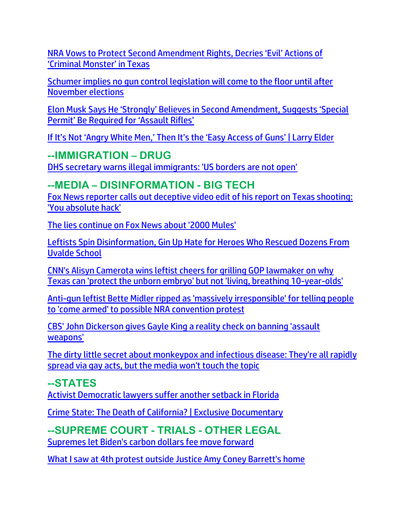[NRA Vows to Protect Second Amendment Rights, Decries 'Evil' Actions of](https://lists.youmaker.com/links/i2U8zo4Mcc/Jlid8tcrj/7xAbPNiP2/8dYKVrXhAC)  ['Criminal Monster' in Texas](https://lists.youmaker.com/links/i2U8zo4Mcc/Jlid8tcrj/7xAbPNiP2/8dYKVrXhAC)

[Schumer implies no gun control legislation will come to the floor until after](https://link.theblaze.com/click/27837021.923206/aHR0cHM6Ly93d3cudGhlYmxhemUuY29tL25ld3Mvc2NodW1lci1pbmRpY2F0ZXMtdGhlLWd1bi1jb250cm9sLXZvdGUtdGhhdC1tYXR0ZXJzLXdpbGwtY29tZS1pbi1ub3ZlbWJlcj91dG1fc291cmNlPXRoZWJsYXplLTdEYXlUcmVuZGluZ1Rlc3QmdXRtX21lZGl1bT1lbWFpbCZ1dG1fY2FtcGFpZ249QWZ0ZXJub29uIEF1dG8gVHJlbmRpbmcgNyBEYXkgRW5nYWdlZCAyMDIyLTA1LTI1JnV0bV90ZXJtPUFDVElWRSBMSVNUIC0gNyBEYXkgRW5nYWdlbWVudA/61f82015384ca325d2cdab60C2bf27ca3)  [November elections](https://link.theblaze.com/click/27837021.923206/aHR0cHM6Ly93d3cudGhlYmxhemUuY29tL25ld3Mvc2NodW1lci1pbmRpY2F0ZXMtdGhlLWd1bi1jb250cm9sLXZvdGUtdGhhdC1tYXR0ZXJzLXdpbGwtY29tZS1pbi1ub3ZlbWJlcj91dG1fc291cmNlPXRoZWJsYXplLTdEYXlUcmVuZGluZ1Rlc3QmdXRtX21lZGl1bT1lbWFpbCZ1dG1fY2FtcGFpZ249QWZ0ZXJub29uIEF1dG8gVHJlbmRpbmcgNyBEYXkgRW5nYWdlZCAyMDIyLTA1LTI1JnV0bV90ZXJtPUFDVElWRSBMSVNUIC0gNyBEYXkgRW5nYWdlbWVudA/61f82015384ca325d2cdab60C2bf27ca3)

[Elon Musk Says He 'Strongly' Believes in Second Amendment, Suggests 'Special](https://lists.youmaker.com/links/G7hyTCse5p/Jlid8tcrj/7xAbPNiP2/m9iwoQqvlO)  [Permit' Be Required for 'Assault Rifles'](https://lists.youmaker.com/links/G7hyTCse5p/Jlid8tcrj/7xAbPNiP2/m9iwoQqvlO)

[If It's Not 'Angry White Men,' Then It's the 'Easy Access of Guns' | Larry Elder](https://lists.youmaker.com/links/fcAESkGq0D/Jlid8tcrj/7xAbPNiP2/juTSHGsK730)

**--IMMIGRATION – DRUG** [DHS secretary warns illegal immigrants: 'US borders are not open'](https://link.theblaze.com/click/27838375.1151934/aHR0cHM6Ly93d3cudGhlYmxhemUuY29tL25ld3MvZGhzLXNlY3JldGFyeS13YXJucy1pbGxlZ2FsLWltbWlncmFudHMtdS1zLWJvcmRlcnMtYXJlLW5vdC1vcGVuP3V0bV9zb3VyY2U9dGhlYmxhemUtYnJlYWtpbmcmdXRtX21lZGl1bT1lbWFpbCZ1dG1fY2FtcGFpZ249MjAyMjA1MjVUcmVuZGluZy1TaG9vdGVyQmlvJnV0bV90ZXJtPUFDVElWRSBMSVNUIC0gVGhlQmxhemUgQnJlYWtpbmcgTmV3cw/61f82015384ca325d2cdab60C053a0958)

#### **--MEDIA – DISINFORMATION - BIG TECH**

[Fox News reporter calls out deceptive video edit of his report on Texas shooting:](https://link.theblaze.com/click/27844290.1051316/aHR0cHM6Ly93d3cudGhlYmxhemUuY29tL25ld3MvYmlsbC1tZWx1Z2luLXZpZGVvLXRleGFzLXNob290aW5nP3V0bV9zb3VyY2U9dGhlYmxhemUtZGFpbHlBTSZ1dG1fbWVkaXVtPWVtYWlsJnV0bV9jYW1wYWlnbj1EYWlseS1OZXdzbGV0dGVyX19BTSAyMDIyLTA1LTI2JnV0bV90ZXJtPUFDVElWRSBMSVNUIC0gVGhlQmxhemUgRGFpbHkgQU0/61f82015384ca325d2cdab60C46d9469b)  ['You absolute hack'](https://link.theblaze.com/click/27844290.1051316/aHR0cHM6Ly93d3cudGhlYmxhemUuY29tL25ld3MvYmlsbC1tZWx1Z2luLXZpZGVvLXRleGFzLXNob290aW5nP3V0bV9zb3VyY2U9dGhlYmxhemUtZGFpbHlBTSZ1dG1fbWVkaXVtPWVtYWlsJnV0bV9jYW1wYWlnbj1EYWlseS1OZXdzbGV0dGVyX19BTSAyMDIyLTA1LTI2JnV0bV90ZXJtPUFDVElWRSBMSVNUIC0gVGhlQmxhemUgRGFpbHkgQU0/61f82015384ca325d2cdab60C46d9469b)

[The lies continue on Fox News about '2000 Mules'](https://www.wnd.com/2022/05/lies-continue-fox-news-2000-mules/)

[Leftists Spin Disinformation, Gin Up Hate for Heroes Who Rescued Dozens From](https://ratherexposethem.org/2022/05/29/leftists-spin-disinformation-gin-up-hate-for-heroes-who-rescued-dozens-from-uvalde-school/)  [Uvalde School](https://ratherexposethem.org/2022/05/29/leftists-spin-disinformation-gin-up-hate-for-heroes-who-rescued-dozens-from-uvalde-school/)

[CNN's Alisyn Camerota wins leftist cheers for grilling GOP lawmaker on why](https://link.theblaze.com/click/27850666.930808/aHR0cHM6Ly93d3cudGhlYmxhemUuY29tL25ld3MvYWxpc3luLWNhbWVyb3RhLWFib3J0aW9uLWd1bi1jb250cm9sP3V0bV9zb3VyY2U9dGhlYmxhemUtN0RheVRyZW5kaW5nVGVzdCZ1dG1fbWVkaXVtPWVtYWlsJnV0bV9jYW1wYWlnbj1BZnRlcm5vb24gQXV0byBUcmVuZGluZyA3IERheSBFbmdhZ2VkIDIwMjItMDUtMjYmdXRtX3Rlcm09QUNUSVZFIExJU1QgLSA3IERheSBFbmdhZ2VtZW50/61f82015384ca325d2cdab60Cf382cd6b)  [Texas can 'protect the unborn embryo' but not 'living, breathing 10-year-olds'](https://link.theblaze.com/click/27850666.930808/aHR0cHM6Ly93d3cudGhlYmxhemUuY29tL25ld3MvYWxpc3luLWNhbWVyb3RhLWFib3J0aW9uLWd1bi1jb250cm9sP3V0bV9zb3VyY2U9dGhlYmxhemUtN0RheVRyZW5kaW5nVGVzdCZ1dG1fbWVkaXVtPWVtYWlsJnV0bV9jYW1wYWlnbj1BZnRlcm5vb24gQXV0byBUcmVuZGluZyA3IERheSBFbmdhZ2VkIDIwMjItMDUtMjYmdXRtX3Rlcm09QUNUSVZFIExJU1QgLSA3IERheSBFbmdhZ2VtZW50/61f82015384ca325d2cdab60Cf382cd6b)

[Anti-gun leftist Bette Midler ripped as 'massively irresponsible' for telling people](https://link.theblaze.com/click/27852187.1170034/aHR0cHM6Ly93d3cudGhlYmxhemUuY29tL25ld3MvYmV0dGUtbWlkbGVyLWNvbWUtYXJtZWQtbnJhP3V0bV9zb3VyY2U9dGhlYmxhemUtYnJlYWtpbmcmdXRtX21lZGl1bT1lbWFpbCZ1dG1fY2FtcGFpZ249MjAyMjA1MjZUcmVuZGluZy1PYmFtYSZ1dG1fdGVybT1BQ1RJVkUgTElTVCAtIFRoZUJsYXplIEJyZWFraW5nIE5ld3M/61f82015384ca325d2cdab60C9cbd09a8)  [to 'come armed' to possible NRA convention protest](https://link.theblaze.com/click/27852187.1170034/aHR0cHM6Ly93d3cudGhlYmxhemUuY29tL25ld3MvYmV0dGUtbWlkbGVyLWNvbWUtYXJtZWQtbnJhP3V0bV9zb3VyY2U9dGhlYmxhemUtYnJlYWtpbmcmdXRtX21lZGl1bT1lbWFpbCZ1dG1fY2FtcGFpZ249MjAyMjA1MjZUcmVuZGluZy1PYmFtYSZ1dG1fdGVybT1BQ1RJVkUgTElTVCAtIFRoZUJsYXplIEJyZWFraW5nIE5ld3M/61f82015384ca325d2cdab60C9cbd09a8)

[CBS' John Dickerson gives Gayle King a reality check on banning 'assault](https://link.theblaze.com/click/27868259.1154997/aHR0cHM6Ly93d3cudGhlYmxhemUuY29tL25ld3MvY2JzLWpvaG4tZGlja2Vyc29uLWdpdmVzLWdheWxlLWtpbmctYS1yZWFsaXR5LWNoZWNrLW9uLWJhbm5pbmctYXNzYXVsdC13ZWFwb25zP3V0bV9zb3VyY2U9dGhlYmxhemUtYnJlYWtpbmcmdXRtX21lZGl1bT1lbWFpbCZ1dG1fY2FtcGFpZ249MjAyMjA1MjdUcmVuZGluZy1Kb2huRGlja2Vyc29uJnV0bV90ZXJtPUFDVElWRSBMSVNUIC0gVGhlQmxhemUgQnJlYWtpbmcgTmV3cw/61f82015384ca325d2cdab60C906eb0a3)  [weapons'](https://link.theblaze.com/click/27868259.1154997/aHR0cHM6Ly93d3cudGhlYmxhemUuY29tL25ld3MvY2JzLWpvaG4tZGlja2Vyc29uLWdpdmVzLWdheWxlLWtpbmctYS1yZWFsaXR5LWNoZWNrLW9uLWJhbm5pbmctYXNzYXVsdC13ZWFwb25zP3V0bV9zb3VyY2U9dGhlYmxhemUtYnJlYWtpbmcmdXRtX21lZGl1bT1lbWFpbCZ1dG1fY2FtcGFpZ249MjAyMjA1MjdUcmVuZGluZy1Kb2huRGlja2Vyc29uJnV0bV90ZXJtPUFDVElWRSBMSVNUIC0gVGhlQmxhemUgQnJlYWtpbmcgTmV3cw/61f82015384ca325d2cdab60C906eb0a3)

[The dirty little secret about monkeypox and infectious disease: They're all rapidly](https://ce-publiclw.naturalnews.com/ct.asp?id=61AB1FFFB1AF2B89C5490D17EED8D33E2D7F77945D16A02B78840E4F7F224FA8EE32506EEB8F69E90B32F018A36C1F58&ct=4aeUs2gAAABCWmgzMUFZJlNZnkz%2b%2fwAAGBmAAAPTEC%2fv3uAgAGhm9TQhmmoDTTanqEU8UemJNAaD0RCMrn8ygVZLodQ%2fYgR2aicB2mUnd0bxY4fDPVcEZAaPW8pCS7Fa6hj9DI%2bVUM5vHQctSYrxZmYYM1AfxdyRThQkJ5M%2fv8A%3d)  [spread via gay acts, but the media won't touch the topic](https://ce-publiclw.naturalnews.com/ct.asp?id=61AB1FFFB1AF2B89C5490D17EED8D33E2D7F77945D16A02B78840E4F7F224FA8EE32506EEB8F69E90B32F018A36C1F58&ct=4aeUs2gAAABCWmgzMUFZJlNZnkz%2b%2fwAAGBmAAAPTEC%2fv3uAgAGhm9TQhmmoDTTanqEU8UemJNAaD0RCMrn8ygVZLodQ%2fYgR2aicB2mUnd0bxY4fDPVcEZAaPW8pCS7Fa6hj9DI%2bVUM5vHQctSYrxZmYYM1AfxdyRThQkJ5M%2fv8A%3d)

**--STATES** [Activist Democratic lawyers suffer another setback in Florida](https://link.theblaze.com/click/27877047.930949/aHR0cHM6Ly93d3cudGhlYmxhemUuY29tL25ld3MvYWN0aXZpc3QtZGVtb2NyYXRpYy1sYXd5ZXJzLXN1ZmZlci1hbm90aGVyLXNldGJhY2staW4tZmxvcmlkYT91dG1fc291cmNlPXRoZWJsYXplLTdEYXlUcmVuZGluZ1Rlc3QmdXRtX21lZGl1bT1lbWFpbCZ1dG1fY2FtcGFpZ249QWZ0ZXJub29uIEF1dG8gVHJlbmRpbmcgNyBEYXkgRW5nYWdlZCAyMDIyLTA1LTI4JnV0bV90ZXJtPUFDVElWRSBMSVNUIC0gNyBEYXkgRW5nYWdlbWVudA/61f82015384ca325d2cdab60C05644a93)

[Crime State: The Death of California? | Exclusive Documentary](https://lists.youmaker.com/links/fcAESkGq0D/Jlid8tcrj/7xAbPNiP2/2Lc9vv4VRd)

**--SUPREME COURT - TRIALS - OTHER LEGAL** [Supremes let Biden's carbon dollars fee move forward](https://www.wnd.com/2022/05/supremes-let-bidens-carbon-dollars-fee-move-forward/)

[What I saw at 4th protest outside Justice Amy Coney Barrett's home](https://www.wnd.com/2022/05/saw-4th-protest-outside-justice-amy-coney-barretts-home/)